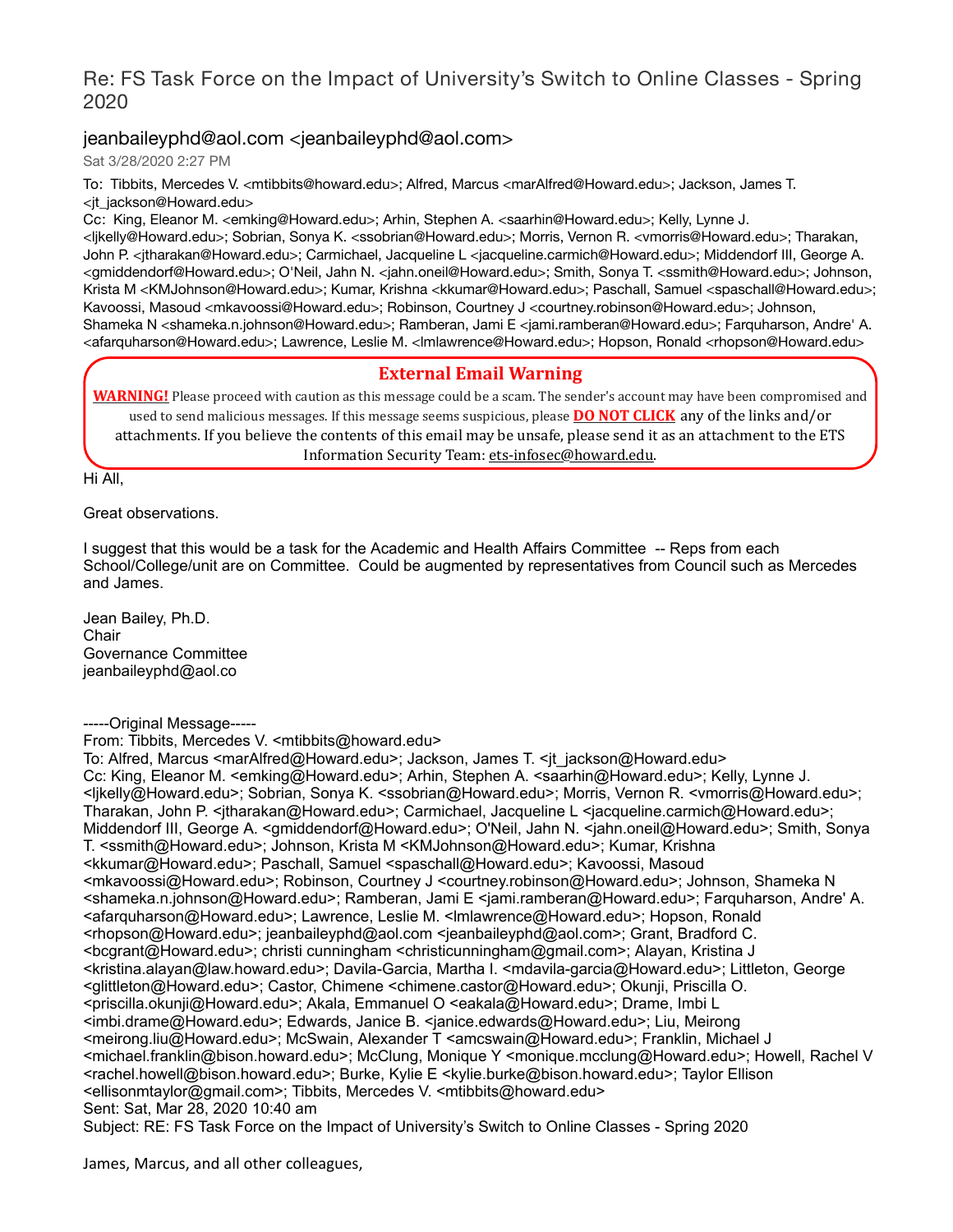## Re: FS Task Force on the Impact of University's Switch to Online Classes - Spring 2020

## jeanbaileyphd@aol.com <jeanbaileyphd@aol.com>

Sat 3/28/2020 2:27 PM

To: Tibbits, Mercedes V. <mtibbits@howard.edu>; Alfred, Marcus <marAlfred@Howard.edu>; Jackson, James T. <jt\_jackson@Howard.edu>

Cc: King, Eleanor M. <emking@Howard.edu>; Arhin, Stephen A. <saarhin@Howard.edu>; Kelly, Lynne J. <ljkelly@Howard.edu>; Sobrian, Sonya K. <ssobrian@Howard.edu>; Morris, Vernon R. <vmorris@Howard.edu>; Tharakan, John P. <jtharakan@Howard.edu>; Carmichael, Jacqueline L <jacqueline.carmich@Howard.edu>; Middendorf III, George A. <gmiddendorf@Howard.edu>; O'Neil, Jahn N. <jahn.oneil@Howard.edu>; Smith, Sonya T. <ssmith@Howard.edu>; Johnson, Krista M <KMJohnson@Howard.edu>; Kumar, Krishna <kkumar@Howard.edu>; Paschall, Samuel <spaschall@Howard.edu>; Kavoossi, Masoud <mkavoossi@Howard.edu>; Robinson, Courtney J <courtney.robinson@Howard.edu>; Johnson, Shameka N <shameka.n.johnson@Howard.edu>; Ramberan, Jami E <jami.ramberan@Howard.edu>; Farquharson, Andre' A. <afarquharson@Howard.edu>; Lawrence, Leslie M. <lmlawrence@Howard.edu>; Hopson, Ronald <rhopson@Howard.edu>

### **External Email Warning**

**WARNING!** Please proceed with caution as this message could be a scam. The sender's account may have been compromised and used to send malicious messages. If this message seems suspicious, please **DO NOT CLICK** any of the links and/or attachments. If you believe the contents of this email may be unsafe, please send it as an attachment to the ETS Information Security Team: ets-infosec@howard.edu.

Hi All,

Great observations.

I suggest that this would be a task for the Academic and Health Affairs Committee -- Reps from each School/College/unit are on Committee. Could be augmented by representatives from Council such as Mercedes and James.

Jean Bailey, Ph.D. **Chair** Governance Committee jeanbaileyphd@aol.co

-----Original Message-----

From: Tibbits, Mercedes V. <mtibbits@howard.edu>

To: Alfred, Marcus <marAlfred@Howard.edu>; Jackson, James T. <jt\_jackson@Howard.edu> Cc: King, Eleanor M. <emking@Howard.edu>; Arhin, Stephen A. <saarhin@Howard.edu>; Kelly, Lynne J. <ljkelly@Howard.edu>; Sobrian, Sonya K. <ssobrian@Howard.edu>; Morris, Vernon R. <vmorris@Howard.edu>; Tharakan, John P. <jtharakan@Howard.edu>; Carmichael, Jacqueline L <jacqueline.carmich@Howard.edu>; Middendorf III, George A. <gmiddendorf@Howard.edu>; O'Neil, Jahn N. <jahn.oneil@Howard.edu>; Smith, Sonya T. <ssmith@Howard.edu>; Johnson, Krista M <KMJohnson@Howard.edu>; Kumar, Krishna <kkumar@Howard.edu>; Paschall, Samuel <spaschall@Howard.edu>; Kavoossi, Masoud <mkavoossi@Howard.edu>; Robinson, Courtney J <courtney.robinson@Howard.edu>; Johnson, Shameka N <shameka.n.johnson@Howard.edu>; Ramberan, Jami E <jami.ramberan@Howard.edu>; Farquharson, Andre' A. <afarquharson@Howard.edu>; Lawrence, Leslie M. <lmlawrence@Howard.edu>; Hopson, Ronald <rhopson@Howard.edu>; jeanbaileyphd@aol.com <jeanbaileyphd@aol.com>; Grant, Bradford C. <bcgrant@Howard.edu>; christi cunningham <christicunningham@gmail.com>; Alayan, Kristina J <kristina.alayan@law.howard.edu>; Davila-Garcia, Martha I. <mdavila-garcia@Howard.edu>; Littleton, George <glittleton@Howard.edu>; Castor, Chimene <chimene.castor@Howard.edu>; Okunji, Priscilla O. <priscilla.okunji@Howard.edu>; Akala, Emmanuel O <eakala@Howard.edu>; Drame, Imbi L <imbi.drame@Howard.edu>; Edwards, Janice B. <janice.edwards@Howard.edu>; Liu, Meirong <meirong.liu@Howard.edu>; McSwain, Alexander T <amcswain@Howard.edu>; Franklin, Michael J <michael.franklin@bison.howard.edu>; McClung, Monique Y <monique.mcclung@Howard.edu>; Howell, Rachel V <rachel.howell@bison.howard.edu>; Burke, Kylie E <kylie.burke@bison.howard.edu>; Taylor Ellison <ellisonmtaylor@gmail.com>; Tibbits, Mercedes V. <mtibbits@howard.edu> Sent: Sat, Mar 28, 2020 10:40 am Subject: RE: FS Task Force on the Impact of University's Switch to Online Classes - Spring 2020

James, Marcus, and all other colleagues,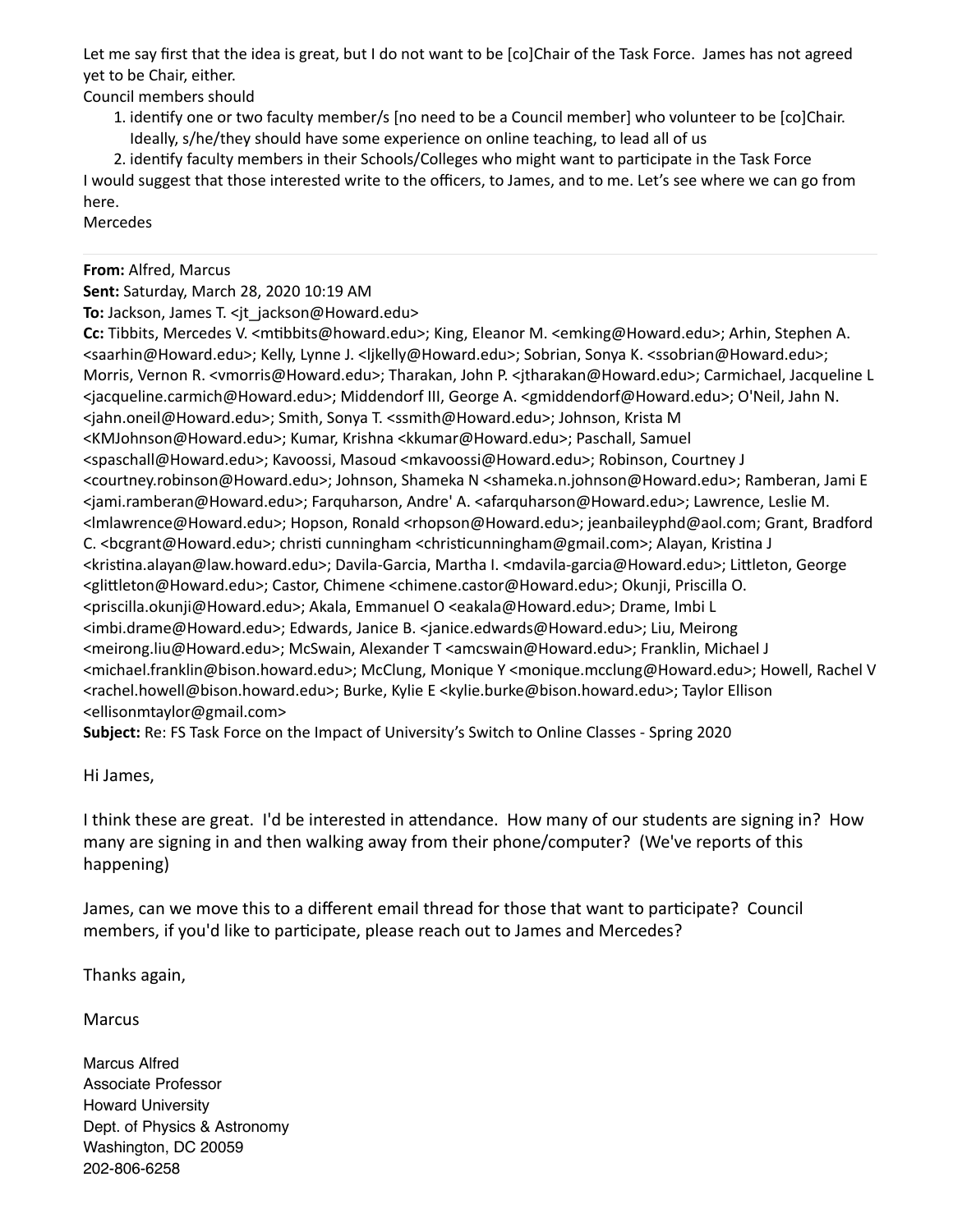Let me say first that the idea is great, but I do not want to be [co]Chair of the Task Force. James has not agreed yet to be Chair, either.

Council members should

1. idenfy one or two faculty member/s [no need to be a Council member] who volunteer to be [co]Chair. Ideally, s/he/they should have some experience on online teaching, to lead all of us

2. identify faculty members in their Schools/Colleges who might want to participate in the Task Force I would suggest that those interested write to the officers, to James, and to me. Let's see where we can go from here.

Mercedes

#### **From:** Alfred, Marcus

**Sent:** Saturday, March 28, 2020 10:19 AM

**To:** Jackson, James T. <jt\_jackson@Howard.edu>

**Cc:** Tibbits, Mercedes V. <mbbits@howard.edu>; King, Eleanor M. <emking@Howard.edu>; Arhin, Stephen A. <saarhin@Howard.edu>; Kelly, Lynne J. <ljkelly@Howard.edu>; Sobrian, Sonya K. <ssobrian@Howard.edu>; Morris, Vernon R. <vmorris@Howard.edu>; Tharakan, John P. <jtharakan@Howard.edu>; Carmichael, Jacqueline L <jacqueline.carmich@Howard.edu>; Middendorf III, George A. <gmiddendorf@Howard.edu>; O'Neil, Jahn N. <jahn.oneil@Howard.edu>; Smith, Sonya T. <ssmith@Howard.edu>; Johnson, Krista M <KMJohnson@Howard.edu>; Kumar, Krishna <kkumar@Howard.edu>; Paschall, Samuel <spaschall@Howard.edu>; Kavoossi, Masoud <mkavoossi@Howard.edu>; Robinson, Courtney J <courtney.robinson@Howard.edu>; Johnson, Shameka N <shameka.n.johnson@Howard.edu>; Ramberan, Jami E <jami.ramberan@Howard.edu>; Farquharson, Andre' A. <afarquharson@Howard.edu>; Lawrence, Leslie M. <lmlawrence@Howard.edu>; Hopson, Ronald <rhopson@Howard.edu>; jeanbaileyphd@aol.com; Grant, Bradford C. <bcgrant@Howard.edu>; christi cunningham <christicunningham@gmail.com>; Alayan, Kristina J <kristina.alayan@law.howard.edu>; Davila-Garcia, Martha I. <mdavila-garcia@Howard.edu>; Littleton, George <glileton@Howard.edu>; Castor, Chimene <chimene.castor@Howard.edu>; Okunji, Priscilla O. <priscilla.okunji@Howard.edu>; Akala, Emmanuel O <eakala@Howard.edu>; Drame, Imbi L <imbi.drame@Howard.edu>; Edwards, Janice B. <janice.edwards@Howard.edu>; Liu, Meirong <meirong.liu@Howard.edu>; McSwain, Alexander T <amcswain@Howard.edu>; Franklin, Michael J <michael.franklin@bison.howard.edu>; McClung, Monique Y <monique.mcclung@Howard.edu>; Howell, Rachel V <rachel.howell@bison.howard.edu>; Burke, Kylie E <kylie.burke@bison.howard.edu>; Taylor Ellison <ellisonmtaylor@gmail.com>

**Subject:** Re: FS Task Force on the Impact of University's Switch to Online Classes - Spring 2020

Hi James,

I think these are great. I'd be interested in attendance. How many of our students are signing in? How many are signing in and then walking away from their phone/computer? (We've reports of this happening)

James, can we move this to a different email thread for those that want to participate? Council members, if you'd like to participate, please reach out to James and Mercedes?

Thanks again,

Marcus

Marcus Alfred Associate Professor Howard University Dept. of Physics & Astronomy Washington, DC 20059 202-806-6258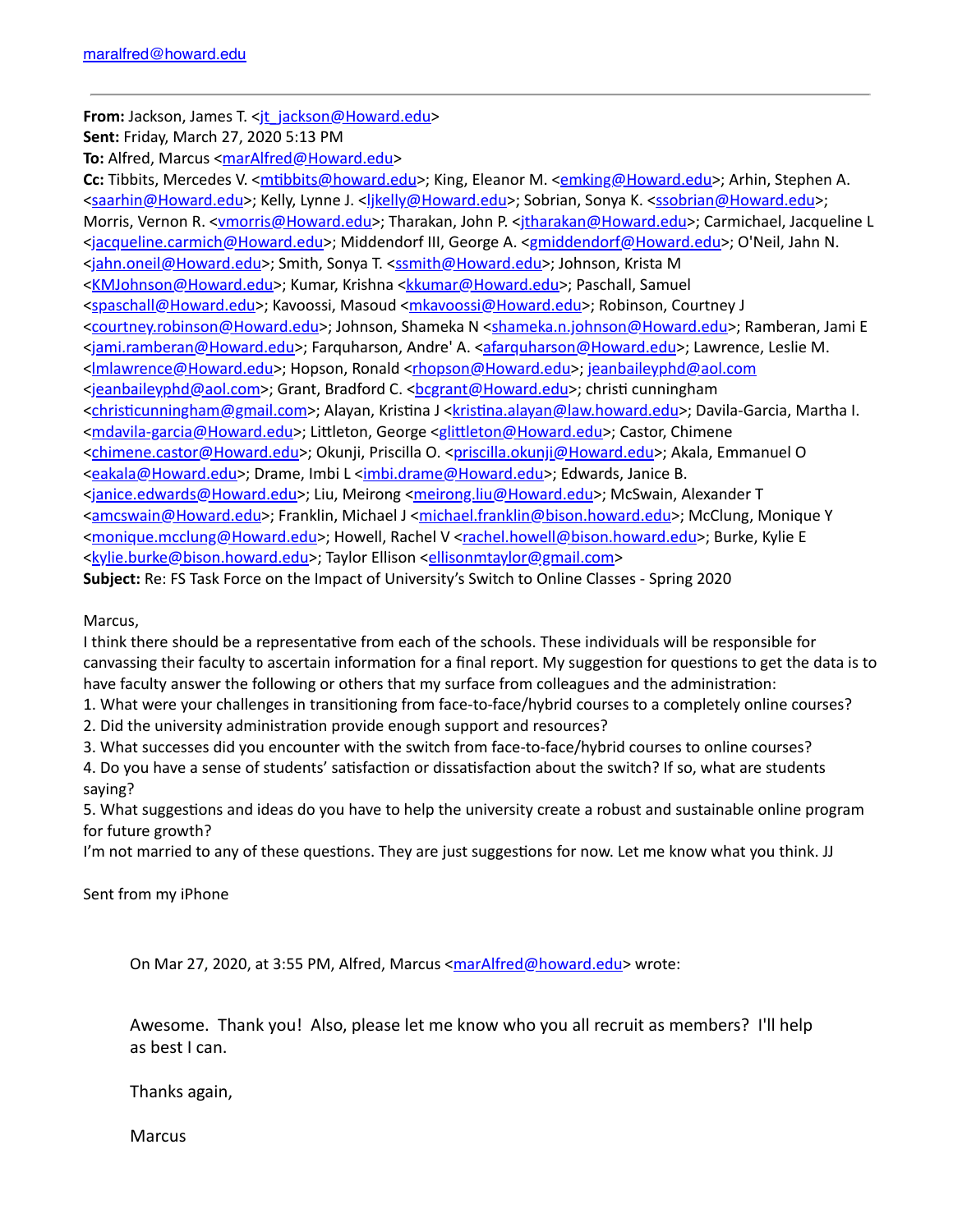**From:** Jackson, James T. <it\_jackson@Howard.edu>

**Sent:** Friday, March 27, 2020 5:13 PM

**To:** Alfred, Marcus <[marAlfred@Howard.edu](mailto:marAlfred@Howard.edu)>

Cc: Tibbits, Mercedes V. <**mtibbits@howard.edu>**; King, Eleanor M. <**emking@Howard.edu>**; Arhin, Stephen A. [<saarhin@Howard.edu](mailto:saarhin@Howard.edu)>; Kelly, Lynne J. <likelly@Howard.edu>; Sobrian, Sonya K. [<ssobrian@Howard.edu>](mailto:ssobrian@Howard.edu); Morris, Vernon R. [<vmorris@Howard.edu>](mailto:vmorris@Howard.edu); Tharakan, John P. <itharakan@Howard.edu>; Carmichael, Jacqueline L [<jacqueline.carmich@Howard.edu>](mailto:jacqueline.carmich@Howard.edu); Middendorf III, George A. [<gmiddendorf@Howard.edu](mailto:gmiddendorf@Howard.edu)>; O'Neil, Jahn N. [<jahn.oneil@Howard.edu](mailto:jahn.oneil@Howard.edu)>; Smith, Sonya T. [<ssmith@Howard.edu>](mailto:ssmith@Howard.edu); Johnson, Krista M [<KMJohnson@Howard.edu>](mailto:KMJohnson@Howard.edu); Kumar, Krishna [<kkumar@Howard.edu](mailto:kkumar@Howard.edu)>; Paschall, Samuel [<spaschall@Howard.edu](mailto:spaschall@Howard.edu)>; Kavoossi, Masoud <[mkavoossi@Howard.edu>](mailto:mkavoossi@Howard.edu); Robinson, Courtney J [<courtney.robinson@Howard.edu](mailto:courtney.robinson@Howard.edu)>; Johnson, Shameka N [<shameka.n.johnson@Howard.edu>](mailto:shameka.n.johnson@Howard.edu); Ramberan, Jami E [<jami.ramberan@Howard.edu](mailto:jami.ramberan@Howard.edu)>; Farquharson, Andre' A. [<afarquharson@Howard.edu>](mailto:afarquharson@Howard.edu); Lawrence, Leslie M. [<lmlawrence@Howard.edu>](mailto:lmlawrence@Howard.edu); Hopson, Ronald [<rhopson@Howard.edu>](mailto:rhopson@Howard.edu); [jeanbaileyphd@aol.com](mailto:jeanbaileyphd@aol.com) [<jeanbaileyphd@aol.com>](mailto:jeanbaileyphd@aol.com); Grant, Bradford C. <bc/>
<br/><u>Cogrant@Howard.edu</u>>; christi cunningham <christicunningham@gmail.com>; Alayan, Kristina J <kristina.alayan@law.howard.edu>; Davila-Garcia, Martha I. [<mdavila-garcia@Howard.edu>](mailto:mdavila-garcia@Howard.edu); Littleton, George <glittleton@Howard.edu>; Castor, Chimene [<chimene.castor@Howard.edu](mailto:chimene.castor@Howard.edu)>; Okunji, Priscilla O. [<priscilla.okunji@Howard.edu>](mailto:priscilla.okunji@Howard.edu); Akala, Emmanuel O [<eakala@Howard.edu>](mailto:eakala@Howard.edu); Drame, Imbi L <[imbi.drame@Howard.edu](mailto:imbi.drame@Howard.edu)>; Edwards, Janice B. [<janice.edwards@Howard.edu>](mailto:janice.edwards@Howard.edu); Liu, Meirong <[meirong.liu@Howard.edu>](mailto:meirong.liu@Howard.edu); McSwain, Alexander T [<amcswain@Howard.edu](mailto:amcswain@Howard.edu)>; Franklin, Michael J <[michael.franklin@bison.howard.edu](mailto:michael.franklin@bison.howard.edu)>; McClung, Monique Y [<monique.mcclung@Howard.edu>](mailto:monique.mcclung@Howard.edu); Howell, Rachel V [<rachel.howell@bison.howard.edu>](mailto:rachel.howell@bison.howard.edu); Burke, Kylie E [<kylie.burke@bison.howard.edu](mailto:kylie.burke@bison.howard.edu)>; Taylor Ellison <[ellisonmtaylor@gmail.com>](mailto:ellisonmtaylor@gmail.com)

**Subject:** Re: FS Task Force on the Impact of University's Switch to Online Classes - Spring 2020

Marcus,

I think there should be a representative from each of the schools. These individuals will be responsible for canvassing their faculty to ascertain information for a final report. My suggestion for questions to get the data is to have faculty answer the following or others that my surface from colleagues and the administration:

1. What were your challenges in transitioning from face-to-face/hybrid courses to a completely online courses?

2. Did the university administration provide enough support and resources?

3. What successes did you encounter with the switch from face-to-face/hybrid courses to online courses?

4. Do you have a sense of students' satisfaction or dissatisfaction about the switch? If so, what are students saying?

5. What suggestions and ideas do you have to help the university create a robust and sustainable online program for future growth?

I'm not married to any of these questions. They are just suggestions for now. Let me know what you think. JJ

Sent from my iPhone

On Mar 27, 2020, at 3:55 PM, Alfred, Marcus [<marAlfred@howard.edu](mailto:marAlfred@howard.edu)> wrote:

Awesome. Thank you! Also, please let me know who you all recruit as members? I'll help as best I can.

Thanks again,

**Marcus**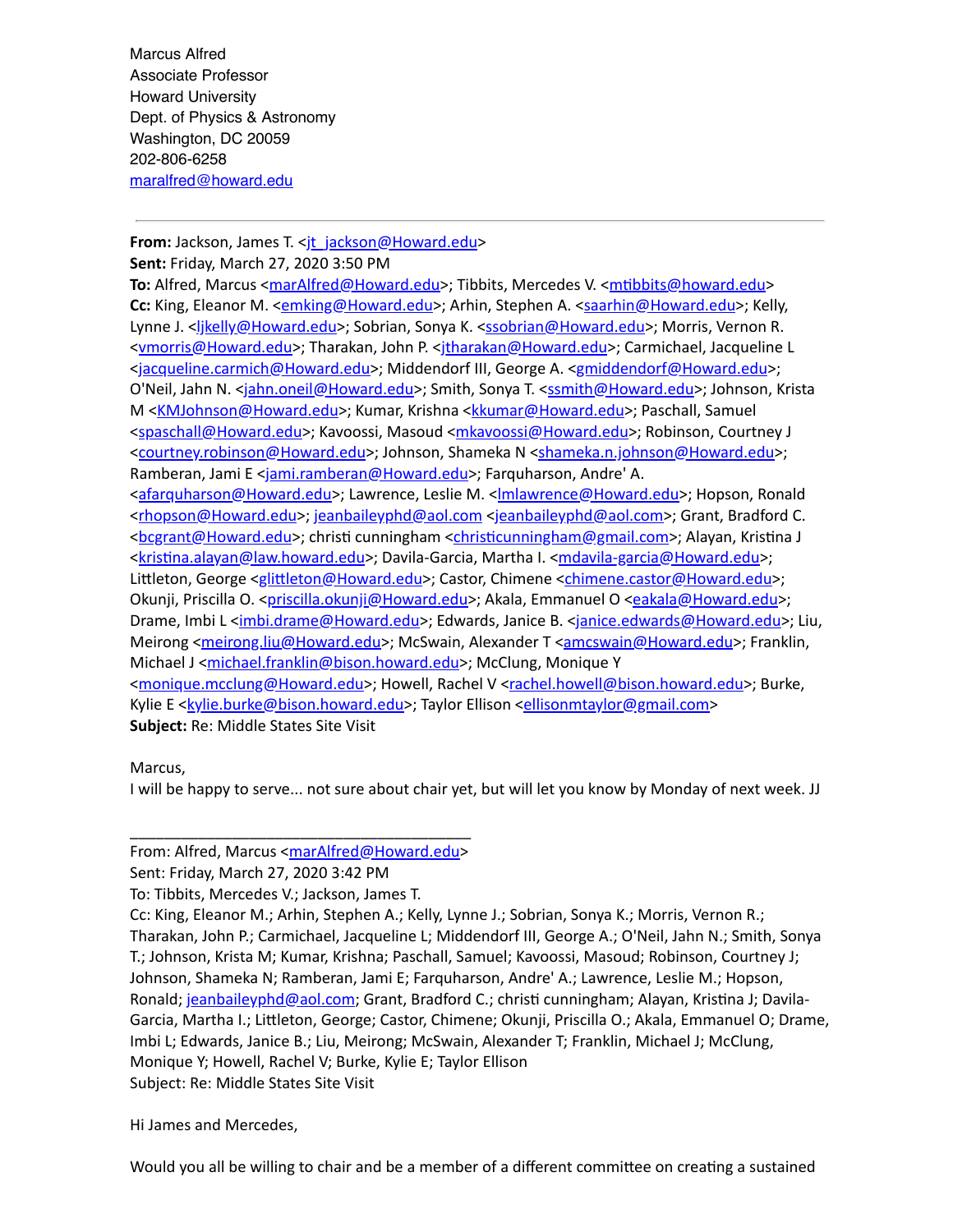Marcus Alfred Associate Professor Howard University Dept. of Physics & Astronomy Washington, DC 20059 202-806-6258 [maralfred@howard.edu](mailto:maralfred@howard.edu)

#### **From:** Jackson, James T. <it\_jackson@Howard.edu>

**Sent:** Friday, March 27, 2020 3:50 PM

**To:** Alfred, Marcus < $maxAlfred@Howard.edu$ >; Tibbits, Mercedes V. < $mtibbits@howard.edu$ > Cc: King, Eleanor M. <[emking@Howard.edu](mailto:emking@Howard.edu)>; Arhin, Stephen A. <[saarhin@Howard.edu>](mailto:saarhin@Howard.edu); Kelly, Lynne J. [<ljkelly@Howard.edu](mailto:ljkelly@Howard.edu)>; Sobrian, Sonya K. <[ssobrian@Howard.edu>](mailto:ssobrian@Howard.edu); Morris, Vernon R. [<vmorris@Howard.edu>](mailto:vmorris@Howard.edu); Tharakan, John P. [<jtharakan@Howard.edu>](mailto:jtharakan@Howard.edu); Carmichael, Jacqueline L [<jacqueline.carmich@Howard.edu>](mailto:jacqueline.carmich@Howard.edu); Middendorf III, George A. [<gmiddendorf@Howard.edu](mailto:gmiddendorf@Howard.edu)>; O'Neil, Jahn N. <<u>jahn.oneil@Howard.edu</u>>; Smith, Sonya T. <[ssmith@Howard.edu](mailto:ssmith@Howard.edu)>; Johnson, Krista M <[KMJohnson@Howard.edu>](mailto:KMJohnson@Howard.edu); Kumar, Krishna <[kkumar@Howard.edu](mailto:kkumar@Howard.edu)>; Paschall, Samuel [<spaschall@Howard.edu](mailto:spaschall@Howard.edu)>; Kavoossi, Masoud <[mkavoossi@Howard.edu>](mailto:mkavoossi@Howard.edu); Robinson, Courtney J [<courtney.robinson@Howard.edu](mailto:courtney.robinson@Howard.edu)>; Johnson, Shameka N [<shameka.n.johnson@Howard.edu>](mailto:shameka.n.johnson@Howard.edu); Ramberan, Jami E <[jami.ramberan@Howard.edu](mailto:jami.ramberan@Howard.edu)>; Farquharson, Andre' A. [<afarquharson@Howard.edu](mailto:afarquharson@Howard.edu)>; Lawrence, Leslie M. << **Imlawrence@Howard.edu>**; Hopson, Ronald [<rhopson@Howard.edu>](mailto:rhopson@Howard.edu); [jeanbaileyphd@aol.com](mailto:jeanbaileyphd@aol.com) [<jeanbaileyphd@aol.com>](mailto:jeanbaileyphd@aol.com); Grant, Bradford C. [<bcgrant@Howard.edu>](mailto:bcgrant@Howard.edu); christi cunningham <christicunningham@gmail.com>; Alayan, Kristina J <kristina.alayan@law.howard.edu>; Davila-Garcia, Martha I. <[mdavila-garcia@Howard.edu](mailto:mdavila-garcia@Howard.edu)>; Littleton, George <glittleton@Howard.edu>; Castor, Chimene <[chimene.castor@Howard.edu](mailto:chimene.castor@Howard.edu)>; Okunji, Priscilla O. <[priscilla.okunji@Howard.edu](mailto:priscilla.okunji@Howard.edu)>; Akala, Emmanuel O [<eakala@Howard.edu](mailto:eakala@Howard.edu)>; Drame, Imbi L [<imbi.drame@Howard.edu>](mailto:imbi.drame@Howard.edu); Edwards, Janice B. <ianice.edwards@Howard.edu>; Liu, Meirong [<meirong.liu@Howard.edu>](mailto:meirong.liu@Howard.edu); McSwain, Alexander T [<amcswain@Howard.edu](mailto:amcswain@Howard.edu)>; Franklin, Michael J [<michael.franklin@bison.howard.edu](mailto:michael.franklin@bison.howard.edu)>; McClung, Monique Y [<monique.mcclung@Howard.edu>](mailto:monique.mcclung@Howard.edu); Howell, Rachel V <[rachel.howell@bison.howard.edu>](mailto:rachel.howell@bison.howard.edu); Burke, Kylie E [<kylie.burke@bison.howard.edu>](mailto:kylie.burke@bison.howard.edu); Taylor Ellison <[ellisonmtaylor@gmail.com>](mailto:ellisonmtaylor@gmail.com)

**Subject:** Re: Middle States Site Visit

Marcus,

I will be happy to serve... not sure about chair yet, but will let you know by Monday of next week. JJ

#### \_\_\_\_\_\_\_\_\_\_\_\_\_\_\_\_\_\_\_\_\_\_\_\_\_\_\_\_\_\_\_\_\_\_\_\_\_\_\_\_ From: Alfred, Marcus <[marAlfred@Howard.edu>](mailto:marAlfred@Howard.edu)

Sent: Friday, March 27, 2020 3:42 PM

To: Tibbits, Mercedes V.; Jackson, James T.

Cc: King, Eleanor M.; Arhin, Stephen A.; Kelly, Lynne J.; Sobrian, Sonya K.; Morris, Vernon R.; Tharakan, John P.; Carmichael, Jacqueline L; Middendorf III, George A.; O'Neil, Jahn N.; Smith, Sonya T.; Johnson, Krista M; Kumar, Krishna; Paschall, Samuel; Kavoossi, Masoud; Robinson, Courtney J; Johnson, Shameka N; Ramberan, Jami E; Farquharson, Andre' A.; Lawrence, Leslie M.; Hopson, Ronald; [jeanbaileyphd@aol.com](mailto:jeanbaileyphd@aol.com); Grant, Bradford C.; christi cunningham; Alayan, Kristina J; Davila-Garcia, Martha I.; Littleton, George; Castor, Chimene; Okunji, Priscilla O.; Akala, Emmanuel O; Drame, Imbi L; Edwards, Janice B.; Liu, Meirong; McSwain, Alexander T; Franklin, Michael J; McClung, Monique Y; Howell, Rachel V; Burke, Kylie E; Taylor Ellison Subject: Re: Middle States Site Visit

Hi James and Mercedes,

Would you all be willing to chair and be a member of a different committee on creating a sustained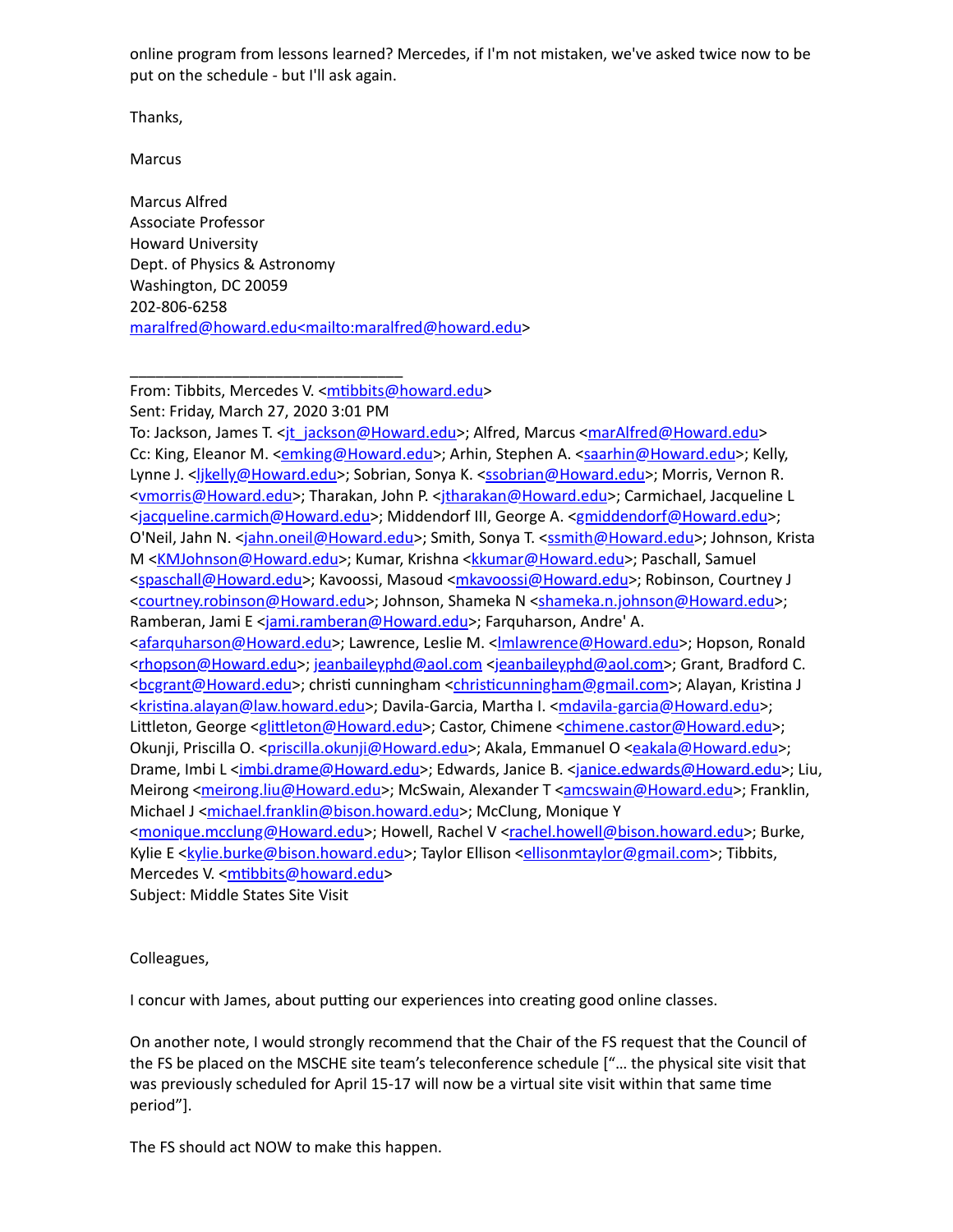online program from lessons learned? Mercedes, if I'm not mistaken, we've asked twice now to be put on the schedule - but I'll ask again.

Thanks,

Marcus

Marcus Alfred Associate Professor Howard University Dept. of Physics & Astronomy Washington, DC 20059 202-806-6258 [maralfred@howard.edu<mailto:maralfred@howard.edu](mailto:maralfred@howard.edu%3cmailto:maralfred@howard.edu)>

From: Tibbits, Mercedes V. <mtibbits@howard.edu>

Sent: Friday, March 27, 2020 3:01 PM

\_\_\_\_\_\_\_\_\_\_\_\_\_\_\_\_\_\_\_\_\_\_\_\_\_\_\_\_\_\_\_\_

To: Jackson, James T. [<jt\\_jackson@Howard.edu>](mailto:jt_jackson@Howard.edu); Alfred, Marcus <<u>[marAlfred@Howard.edu](mailto:marAlfred@Howard.edu)</u>> Cc: King, Eleanor M. <[emking@Howard.edu](mailto:emking@Howard.edu)>; Arhin, Stephen A. <[saarhin@Howard.edu>](mailto:saarhin@Howard.edu); Kelly, Lynne J. <<u>ljkelly@Howard.edu</u>>; Sobrian, Sonya K. <<u>ssobrian@Howard.edu</u>>; Morris, Vernon R. [<vmorris@Howard.edu>](mailto:vmorris@Howard.edu); Tharakan, John P. [<jtharakan@Howard.edu>](mailto:jtharakan@Howard.edu); Carmichael, Jacqueline L [<jacqueline.carmich@Howard.edu>](mailto:jacqueline.carmich@Howard.edu); Middendorf III, George A. [<gmiddendorf@Howard.edu](mailto:gmiddendorf@Howard.edu)>; O'Neil, Jahn N. <[jahn.oneil@Howard.edu>](mailto:jahn.oneil@Howard.edu); Smith, Sonya T. <[ssmith@Howard.edu](mailto:ssmith@Howard.edu)>; Johnson, Krista M <[KMJohnson@Howard.edu>](mailto:KMJohnson@Howard.edu); Kumar, Krishna <[kkumar@Howard.edu](mailto:kkumar@Howard.edu)>; Paschall, Samuel [<spaschall@Howard.edu](mailto:spaschall@Howard.edu)>; Kavoossi, Masoud <[mkavoossi@Howard.edu>](mailto:mkavoossi@Howard.edu); Robinson, Courtney J [<courtney.robinson@Howard.edu](mailto:courtney.robinson@Howard.edu)>; Johnson, Shameka N [<shameka.n.johnson@Howard.edu>](mailto:shameka.n.johnson@Howard.edu); Ramberan, Jami E <[jami.ramberan@Howard.edu](mailto:jami.ramberan@Howard.edu)>; Farquharson, Andre' A. [<afarquharson@Howard.edu](mailto:afarquharson@Howard.edu)>; Lawrence, Leslie M. <**Imlawrence@Howard.edu>**; Hopson, Ronald [<rhopson@Howard.edu>](mailto:rhopson@Howard.edu); [jeanbaileyphd@aol.com](mailto:jeanbaileyphd@aol.com) [<jeanbaileyphd@aol.com>](mailto:jeanbaileyphd@aol.com); Grant, Bradford C. [<bcgrant@Howard.edu>](mailto:bcgrant@Howard.edu); christi cunningham <christicunningham@gmail.com>; Alayan, Kristina J <kristina.alayan@law.howard.edu>; Davila-Garcia, Martha I. <[mdavila-garcia@Howard.edu](mailto:mdavila-garcia@Howard.edu)>; Littleton, George <glittleton@Howard.edu>; Castor, Chimene <[chimene.castor@Howard.edu](mailto:chimene.castor@Howard.edu)>; Okunji, Priscilla O. <[priscilla.okunji@Howard.edu](mailto:priscilla.okunji@Howard.edu)>; Akala, Emmanuel O [<eakala@Howard.edu](mailto:eakala@Howard.edu)>; Drame, Imbi L [<imbi.drame@Howard.edu>](mailto:imbi.drame@Howard.edu); Edwards, Janice B. [<janice.edwards@Howard.edu](mailto:janice.edwards@Howard.edu)>; Liu, Meirong [<meirong.liu@Howard.edu>](mailto:meirong.liu@Howard.edu); McSwain, Alexander T [<amcswain@Howard.edu](mailto:amcswain@Howard.edu)>; Franklin, Michael J [<michael.franklin@bison.howard.edu](mailto:michael.franklin@bison.howard.edu)>; McClung, Monique Y [<monique.mcclung@Howard.edu>](mailto:monique.mcclung@Howard.edu); Howell, Rachel V <[rachel.howell@bison.howard.edu>](mailto:rachel.howell@bison.howard.edu); Burke, Kylie E <kvlie.burke@bison.howard.edu>; Taylor Ellison <[ellisonmtaylor@gmail.com>](mailto:ellisonmtaylor@gmail.com); Tibbits, Mercedes V. <mtibbits@howard.edu> Subject: Middle States Site Visit

#### Colleagues,

I concur with James, about putting our experiences into creating good online classes.

On another note, I would strongly recommend that the Chair of the FS request that the Council of the FS be placed on the MSCHE site team's teleconference schedule ["… the physical site visit that was previously scheduled for April 15-17 will now be a virtual site visit within that same time period"].

The FS should act NOW to make this happen.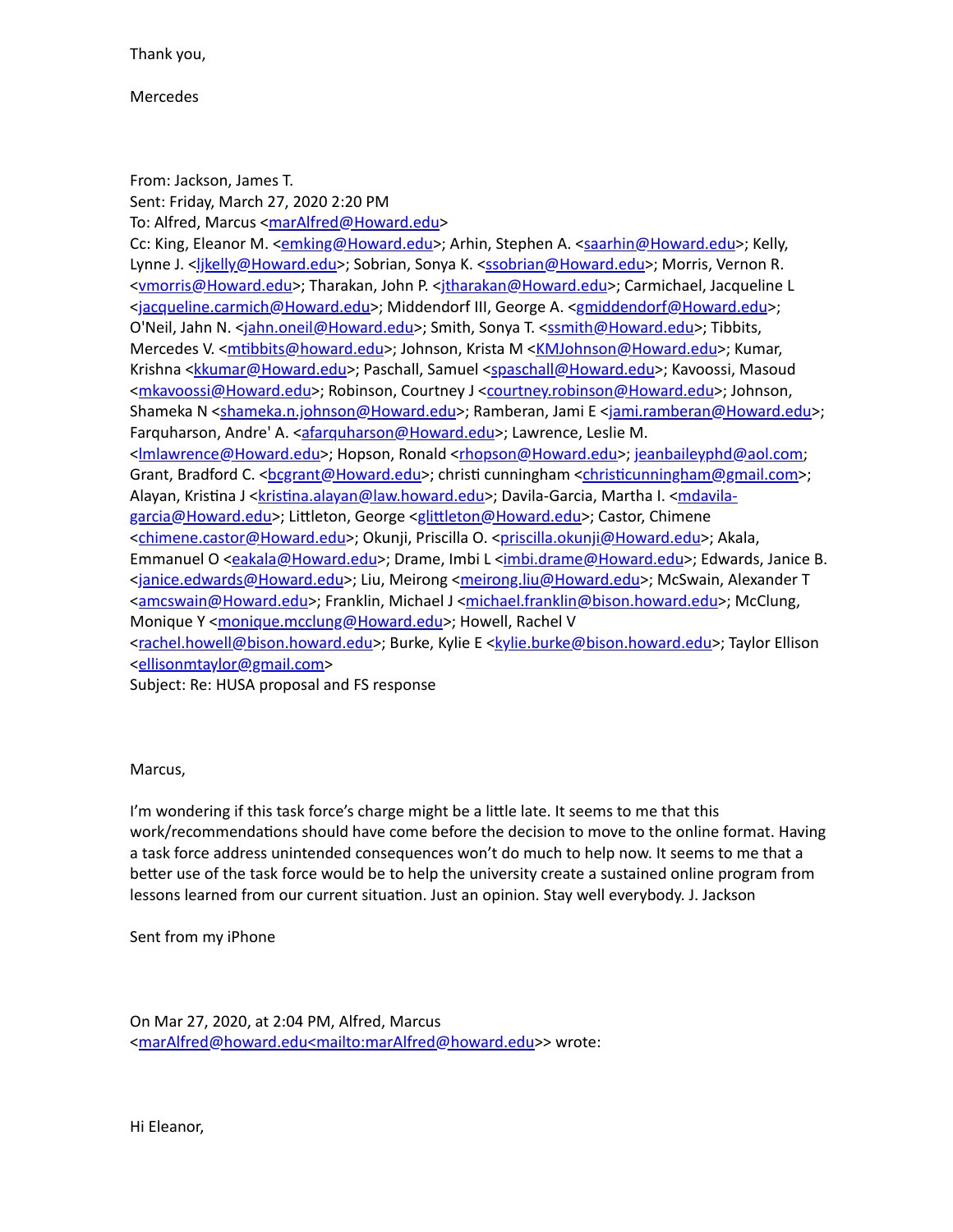Thank you,

Mercedes

From: Jackson, James T. Sent: Friday, March 27, 2020 2:20 PM To: Alfred, Marcus <[marAlfred@Howard.edu](mailto:marAlfred@Howard.edu)> Cc: King, Eleanor M. <[emking@Howard.edu](mailto:emking@Howard.edu)>; Arhin, Stephen A. <[saarhin@Howard.edu>](mailto:saarhin@Howard.edu); Kelly, Lynne J. <*ljkelly@Howard.edu>*; Sobrian, Sonya K. <[ssobrian@Howard.edu>](mailto:ssobrian@Howard.edu); Morris, Vernon R. [<vmorris@Howard.edu>](mailto:vmorris@Howard.edu); Tharakan, John P. [<jtharakan@Howard.edu>](mailto:jtharakan@Howard.edu); Carmichael, Jacqueline L [<jacqueline.carmich@Howard.edu>](mailto:jacqueline.carmich@Howard.edu); Middendorf III, George A. [<gmiddendorf@Howard.edu](mailto:gmiddendorf@Howard.edu)>; O'Neil, Jahn N. <[jahn.oneil@Howard.edu>](mailto:jahn.oneil@Howard.edu); Smith, Sonya T. <[ssmith@Howard.edu](mailto:ssmith@Howard.edu)>; Tibbits, Mercedes V. <**mtibbits@howard.edu>; Johnson, Krista M <[KMJohnson@Howard.edu](mailto:KMJohnson@Howard.edu)>; Kumar,** Krishna <[kkumar@Howard.edu>](mailto:kkumar@Howard.edu); Paschall, Samuel <[spaschall@Howard.edu>](mailto:spaschall@Howard.edu); Kavoossi, Masoud [<mkavoossi@Howard.edu](mailto:mkavoossi@Howard.edu)>; Robinson, Courtney J <[courtney.robinson@Howard.edu>](mailto:courtney.robinson@Howard.edu); Johnson, Shameka N [<shameka.n.johnson@Howard.edu](mailto:shameka.n.johnson@Howard.edu)>; Ramberan, Jami E [<jami.ramberan@Howard.edu>](mailto:jami.ramberan@Howard.edu); Farquharson, Andre' A. <**[afarquharson@Howard.edu](mailto:afarquharson@Howard.edu)>**; Lawrence, Leslie M. [<lmlawrence@Howard.edu>](mailto:lmlawrence@Howard.edu); Hopson, Ronald [<rhopson@Howard.edu>](mailto:rhopson@Howard.edu); [jeanbaileyphd@aol.com](mailto:jeanbaileyphd@aol.com); Grant, Bradford C. < <u>bcgrant@Howard.edu</u>>; christi cunningham < christicunningham@gmail.com>; Alayan, Kristina J <**kristina.alayan@law.howard.edu[>;](mailto:mdavila-garcia@Howard.edu) Davila-Garcia**, Martha I. <mdavilagarcia@Howard.edu>; Littleton, George <glittleton@Howard.edu>; Castor, Chimene [<chimene.castor@Howard.edu](mailto:chimene.castor@Howard.edu)>; Okunji, Priscilla O. <[priscilla.okunji@Howard.edu>](mailto:priscilla.okunji@Howard.edu); Akala, Emmanuel O [<eakala@Howard.edu>](mailto:eakala@Howard.edu); Drame, Imbi L <[imbi.drame@Howard.edu](mailto:imbi.drame@Howard.edu)>; Edwards, Janice B. [<janice.edwards@Howard.edu>](mailto:janice.edwards@Howard.edu); Liu, Meirong <[meirong.liu@Howard.edu>](mailto:meirong.liu@Howard.edu); McSwain, Alexander T [<amcswain@Howard.edu](mailto:amcswain@Howard.edu)>; Franklin, Michael J <[michael.franklin@bison.howard.edu](mailto:michael.franklin@bison.howard.edu)>; McClung, Monique Y <[monique.mcclung@Howard.edu>](mailto:monique.mcclung@Howard.edu); Howell, Rachel V [<rachel.howell@bison.howard.edu>](mailto:rachel.howell@bison.howard.edu); Burke, Kylie E [<kylie.burke@bison.howard.edu](mailto:kylie.burke@bison.howard.edu)>; Taylor Ellison [<ellisonmtaylor@gmail.com](mailto:ellisonmtaylor@gmail.com)>

Subject: Re: HUSA proposal and FS response

Marcus,

I'm wondering if this task force's charge might be a little late. It seems to me that this work/recommendations should have come before the decision to move to the online format. Having a task force address unintended consequences won't do much to help now. It seems to me that a better use of the task force would be to help the university create a sustained online program from lessons learned from our current situation. Just an opinion. Stay well everybody. J. Jackson

Sent from my iPhone

On Mar 27, 2020, at 2:04 PM, Alfred, Marcus [<marAlfred@howard.edu<mailto:marAlfred@howard.edu](mailto:marAlfred@howard.edu%3cmailto:marAlfred@howard.edu)>> wrote: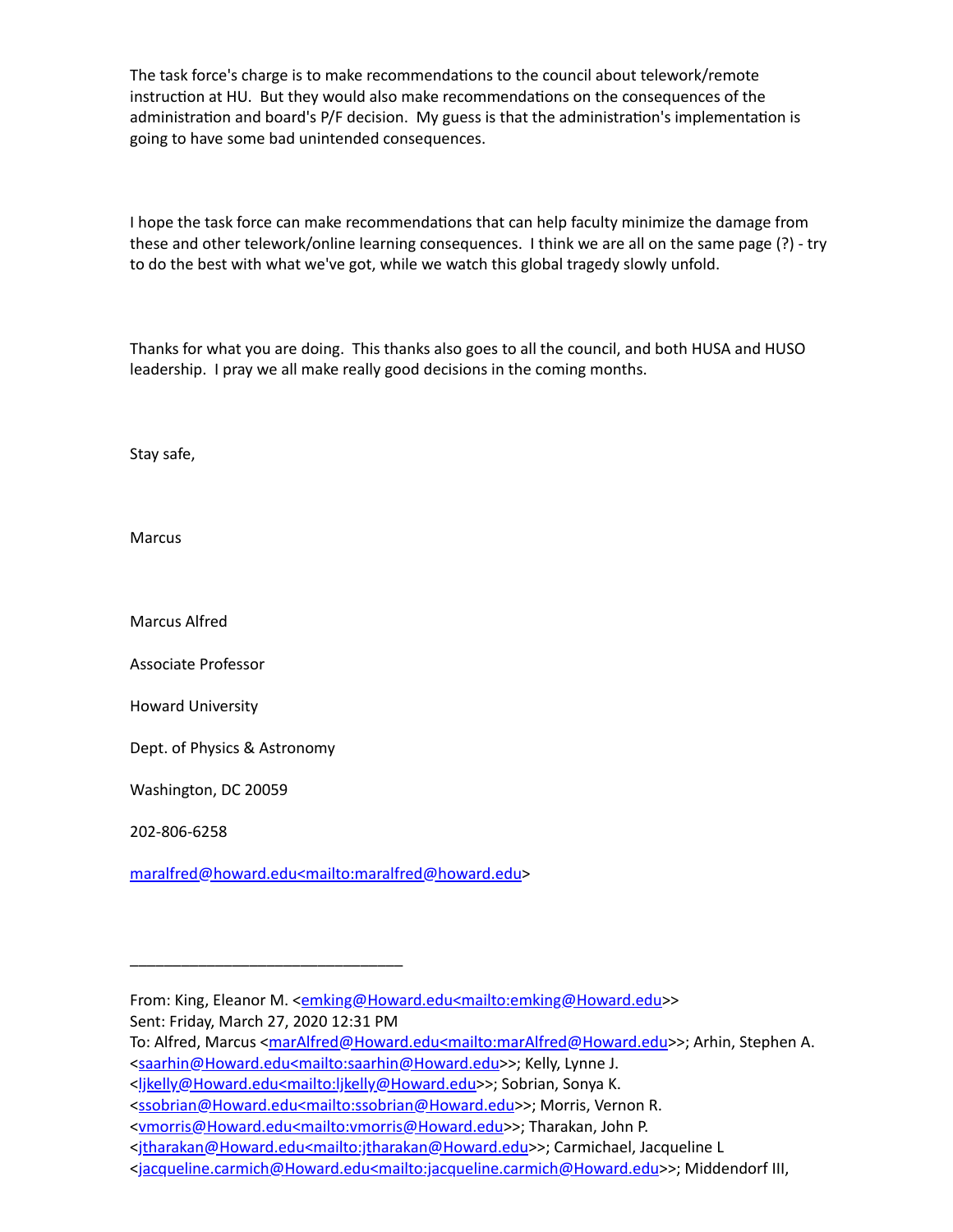The task force's charge is to make recommendations to the council about telework/remote instruction at HU. But they would also make recommendations on the consequences of the administration and board's P/F decision. My guess is that the administration's implementation is going to have some bad unintended consequences.

I hope the task force can make recommendations that can help faculty minimize the damage from these and other telework/online learning consequences. I think we are all on the same page (?) - try to do the best with what we've got, while we watch this global tragedy slowly unfold.

Thanks for what you are doing. This thanks also goes to all the council, and both HUSA and HUSO leadership. I pray we all make really good decisions in the coming months.

Stay safe,

Marcus

Marcus Alfred

Associate Professor

Howard University

Dept. of Physics & Astronomy

\_\_\_\_\_\_\_\_\_\_\_\_\_\_\_\_\_\_\_\_\_\_\_\_\_\_\_\_\_\_\_\_

Washington, DC 20059

202-806-6258

[maralfred@howard.edu<mailto:maralfred@howard.edu](mailto:maralfred@howard.edu%3cmailto:maralfred@howard.edu)>

From: King, Eleanor M. <**[emking@Howard.edu<mailto:emking@Howard.edu>](mailto:emking@Howard.edu%3cmailto:emking@Howard.edu)>** Sent: Friday, March 27, 2020 12:31 PM

To: Alfred, Marcus <[marAlfred@Howard.edu<mailto:marAlfred@Howard.edu>](mailto:marAlfred@Howard.edu%3cmailto:marAlfred@Howard.edu)>; Arhin, Stephen A. [<saarhin@Howard.edu<mailto:saarhin@Howard.edu>](mailto:saarhin@Howard.edu%3cmailto:saarhin@Howard.edu)>; Kelly, Lynne J.

[<sup>&</sup>lt;ljkelly@Howard.edu<mailto:ljkelly@Howard.edu](mailto:ljkelly@Howard.edu%3cmailto:ljkelly@Howard.edu)>>; Sobrian, Sonya K.

[<sup>&</sup>lt;ssobrian@Howard.edu<mailto:ssobrian@Howard.edu>](mailto:ssobrian@Howard.edu%3cmailto:ssobrian@Howard.edu)>; Morris, Vernon R.

<sup>&</sup>lt;<u>vmorris@Howard.edu<mailto:vmorris@Howard.edu</u>>>; Tharakan, John P.

[<sup>&</sup>lt;jtharakan@Howard.edu<mailto:jtharakan@Howard.edu>](mailto:jtharakan@Howard.edu%3cmailto:jtharakan@Howard.edu)>; Carmichael, Jacqueline L

[<sup>&</sup>lt;jacqueline.carmich@Howard.edu<mailto:jacqueline.carmich@Howard.edu>](mailto:jacqueline.carmich@Howard.edu%3cmailto:jacqueline.carmich@Howard.edu)>; Middendorf III,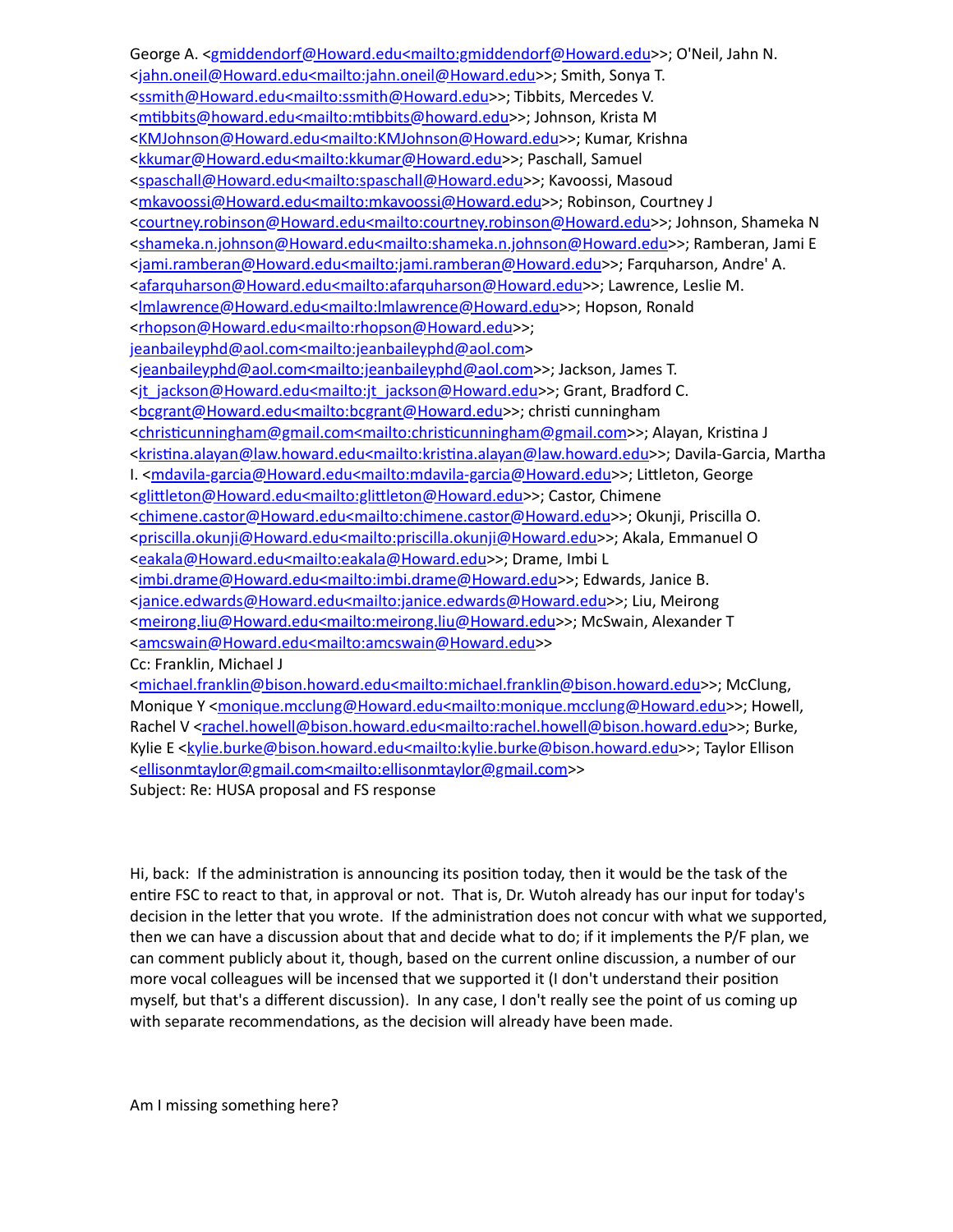George A. [<gmiddendorf@Howard.edu<mailto:gmiddendorf@Howard.edu](mailto:gmiddendorf@Howard.edu%3cmailto:gmiddendorf@Howard.edu)>>; O'Neil, Jahn N. [<jahn.oneil@Howard.edu<mailto:jahn.oneil@Howard.edu](mailto:jahn.oneil@Howard.edu%3cmailto:jahn.oneil@Howard.edu)>>; Smith, Sonya T. [<ssmith@Howard.edu<mailto:ssmith@Howard.edu](mailto:ssmith@Howard.edu%3cmailto:ssmith@Howard.edu)>>; Tibbits, Mercedes V. <mtibbits@howard.edu<mailto:mtibbits@howard.edu>>; Johnson, Krista M [<KMJohnson@Howard.edu<mailto:KMJohnson@Howard.edu](mailto:KMJohnson@Howard.edu%3cmailto:KMJohnson@Howard.edu)>>; Kumar, Krishna [<kkumar@Howard.edu<mailto:kkumar@Howard.edu](mailto:kkumar@Howard.edu%3cmailto:kkumar@Howard.edu)>>; Paschall, Samuel [<spaschall@Howard.edu<mailto:spaschall@Howard.edu>](mailto:spaschall@Howard.edu%3cmailto:spaschall@Howard.edu)>; Kavoossi, Masoud [<mkavoossi@Howard.edu<mailto:mkavoossi@Howard.edu](mailto:mkavoossi@Howard.edu%3cmailto:mkavoossi@Howard.edu)>>; Robinson, Courtney J [<courtney.robinson@Howard.edu<mailto:courtney.robinson@Howard.edu](mailto:courtney.robinson@Howard.edu%3cmailto:courtney.robinson@Howard.edu)>>; Johnson, Shameka N [<shameka.n.johnson@Howard.edu<mailto:shameka.n.johnson@Howard.edu>](mailto:shameka.n.johnson@Howard.edu%3cmailto:shameka.n.johnson@Howard.edu)>; Ramberan, Jami E [<jami.ramberan@Howard.edu<mailto:jami.ramberan@Howard.edu>](mailto:jami.ramberan@Howard.edu%3cmailto:jami.ramberan@Howard.edu)>; Farquharson, Andre' A. [<afarquharson@Howard.edu<mailto:afarquharson@Howard.edu](mailto:afarquharson@Howard.edu%3cmailto:afarquharson@Howard.edu)>>; Lawrence, Leslie M. [<lmlawrence@Howard.edu<mailto:lmlawrence@Howard.edu>](mailto:lmlawrence@Howard.edu%3cmailto:lmlawrence@Howard.edu)>; Hopson, Ronald [<rhopson@Howard.edu<mailto:rhopson@Howard.edu>](mailto:rhopson@Howard.edu%3cmailto:rhopson@Howard.edu)>; [jeanbaileyphd@aol.com<mailto:jeanbaileyphd@aol.com](mailto:jeanbaileyphd@aol.com%3cmailto:jeanbaileyphd@aol.com)> [<jeanbaileyphd@aol.com<mailto:jeanbaileyphd@aol.com>](mailto:jeanbaileyphd@aol.com%3cmailto:jeanbaileyphd@aol.com)>; Jackson, James T. [<jt\\_jackson@Howard.edu<mailto:jt\\_jackson@Howard.edu>](mailto:jt_jackson@Howard.edu%3cmailto:jt_jackson@Howard.edu)>; Grant, Bradford C. [<bcgrant@Howard.edu<mailto:bcgrant@Howard.edu](mailto:bcgrant@Howard.edu%3cmailto:bcgrant@Howard.edu)>>; christi cunningham <christicunningham@gmail.com<mailto:christicunningham@gmail.com>>; Alayan, Kristina J <kristina.alayan@law.howard.edu<mailto:kristina.alayan@law.howard.edu>>; Davila-Garcia, Martha I. [<mdavila-garcia@Howard.edu<mailto:mdavila-garcia@Howard.edu>](mailto:mdavila-garcia@Howard.edu%3cmailto:mdavila-garcia@Howard.edu)>; Littleton, George <glittleton@Howard.edu<mailto:glittleton@Howard.edu>>; Castor, Chimene [<chimene.castor@Howard.edu<mailto:chimene.castor@Howard.edu](mailto:chimene.castor@Howard.edu%3cmailto:chimene.castor@Howard.edu)>>; Okunji, Priscilla O. [<priscilla.okunji@Howard.edu<mailto:priscilla.okunji@Howard.edu>](mailto:priscilla.okunji@Howard.edu%3cmailto:priscilla.okunji@Howard.edu)>; Akala, Emmanuel O [<eakala@Howard.edu<mailto:eakala@Howard.edu>](mailto:eakala@Howard.edu%3cmailto:eakala@Howard.edu)>; Drame, Imbi L [<imbi.drame@Howard.edu<mailto:imbi.drame@Howard.edu](mailto:imbi.drame@Howard.edu%3cmailto:imbi.drame@Howard.edu)>>; Edwards, Janice B. [<janice.edwards@Howard.edu<mailto:janice.edwards@Howard.edu>](mailto:janice.edwards@Howard.edu%3cmailto:janice.edwards@Howard.edu)>; Liu, Meirong [<meirong.liu@Howard.edu<mailto:meirong.liu@Howard.edu](mailto:meirong.liu@Howard.edu%3cmailto:meirong.liu@Howard.edu)>>; McSwain, Alexander T [<amcswain@Howard.edu<mailto:amcswain@Howard.edu](mailto:amcswain@Howard.edu%3cmailto:amcswain@Howard.edu)>> Cc: Franklin, Michael J [<michael.franklin@bison.howard.edu<mailto:michael.franklin@bison.howard.edu](mailto:michael.franklin@bison.howard.edu%3cmailto:michael.franklin@bison.howard.edu)>>; McClung, Monique Y <[monique.mcclung@Howard.edu<mailto:monique.mcclung@Howard.edu](mailto:monique.mcclung@Howard.edu%3cmailto:monique.mcclung@Howard.edu)>>; Howell, Rachel V <[rachel.howell@bison.howard.edu<mailto:rachel.howell@bison.howard.edu](mailto:rachel.howell@bison.howard.edu%3cmailto:rachel.howell@bison.howard.edu)>>; Burke, Kylie E <**kylie.burke@bison.howard.edu<mailto:kylie.burke@bison.howard.edu>>; Taylor Ellison** 

[<ellisonmtaylor@gmail.com<mailto:ellisonmtaylor@gmail.com>](mailto:ellisonmtaylor@gmail.com%3cmailto:ellisonmtaylor@gmail.com)>

Subject: Re: HUSA proposal and FS response

Hi, back: If the administration is announcing its position today, then it would be the task of the entire FSC to react to that, in approval or not. That is, Dr. Wutoh already has our input for today's decision in the letter that you wrote. If the administration does not concur with what we supported, then we can have a discussion about that and decide what to do; if it implements the P/F plan, we can comment publicly about it, though, based on the current online discussion, a number of our more vocal colleagues will be incensed that we supported it (I don't understand their position myself, but that's a different discussion). In any case, I don't really see the point of us coming up with separate recommendations, as the decision will already have been made.

Am I missing something here?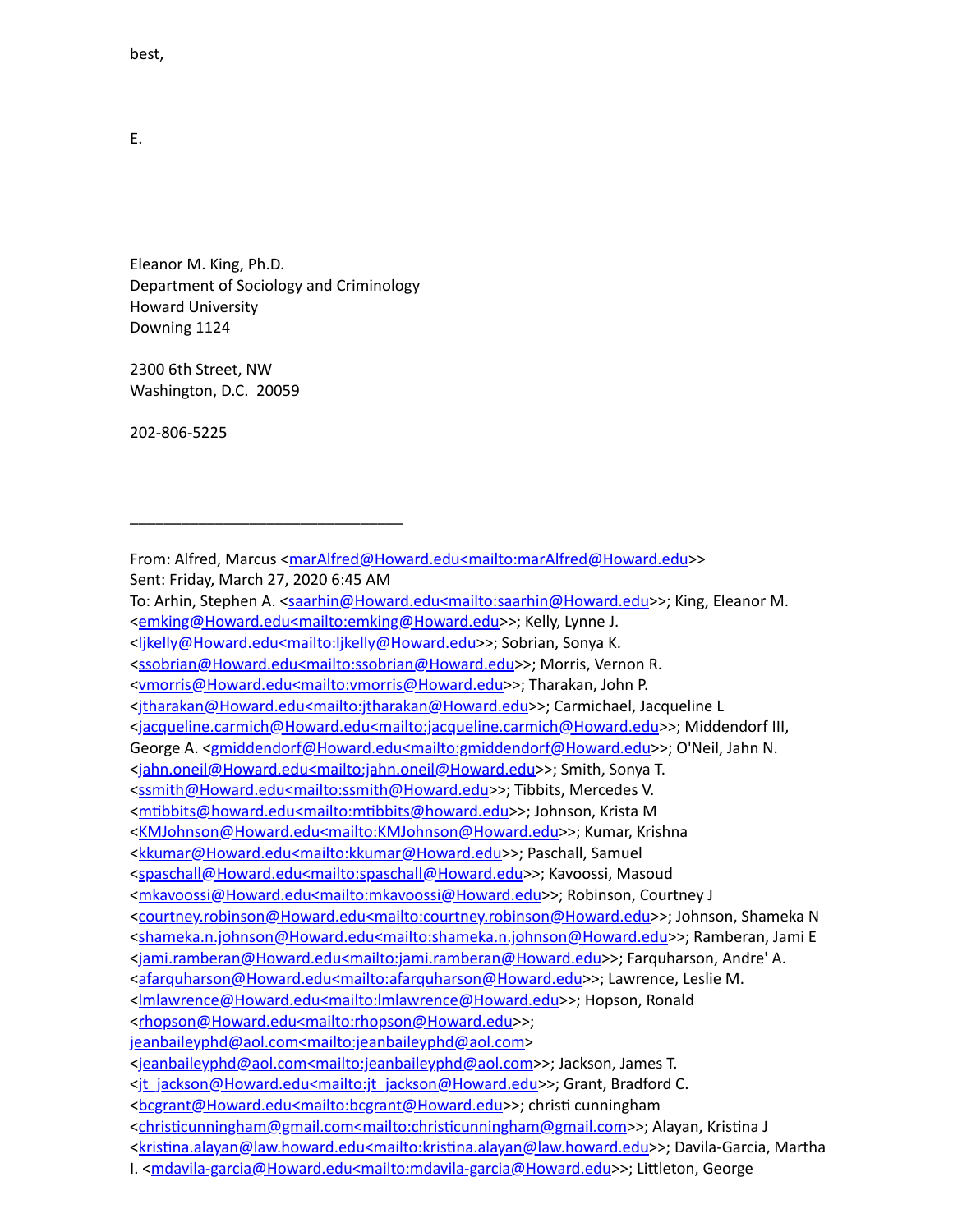best,

E.

Eleanor M. King, Ph.D. Department of Sociology and Criminology Howard University Downing 1124

\_\_\_\_\_\_\_\_\_\_\_\_\_\_\_\_\_\_\_\_\_\_\_\_\_\_\_\_\_\_\_\_

2300 6th Street, NW Washington, D.C. 20059

202-806-5225

From: Alfred, Marcus <[marAlfred@Howard.edu<mailto:marAlfred@Howard.edu](mailto:marAlfred@Howard.edu%3cmailto:marAlfred@Howard.edu)>> Sent: Friday, March 27, 2020 6:45 AM To: Arhin, Stephen A. <[saarhin@Howard.edu<mailto:saarhin@Howard.edu>](mailto:saarhin@Howard.edu%3cmailto:saarhin@Howard.edu)>; King, Eleanor M. [<emking@Howard.edu<mailto:emking@Howard.edu>](mailto:emking@Howard.edu%3cmailto:emking@Howard.edu)>; Kelly, Lynne J. [<ljkelly@Howard.edu<mailto:ljkelly@Howard.edu](mailto:ljkelly@Howard.edu%3cmailto:ljkelly@Howard.edu)>>; Sobrian, Sonya K. [<ssobrian@Howard.edu<mailto:ssobrian@Howard.edu>](mailto:ssobrian@Howard.edu%3cmailto:ssobrian@Howard.edu)>; Morris, Vernon R. [<vmorris@Howard.edu<mailto:vmorris@Howard.edu>](mailto:vmorris@Howard.edu%3cmailto:vmorris@Howard.edu)>; Tharakan, John P. [<jtharakan@Howard.edu<mailto:jtharakan@Howard.edu>](mailto:jtharakan@Howard.edu%3cmailto:jtharakan@Howard.edu)>; Carmichael, Jacqueline L [<jacqueline.carmich@Howard.edu<mailto:jacqueline.carmich@Howard.edu>](mailto:jacqueline.carmich@Howard.edu%3cmailto:jacqueline.carmich@Howard.edu)>; Middendorf III, George A. [<gmiddendorf@Howard.edu<mailto:gmiddendorf@Howard.edu](mailto:gmiddendorf@Howard.edu%3cmailto:gmiddendorf@Howard.edu)>>; O'Neil, Jahn N. [<jahn.oneil@Howard.edu<mailto:jahn.oneil@Howard.edu](mailto:jahn.oneil@Howard.edu%3cmailto:jahn.oneil@Howard.edu)>>; Smith, Sonya T. [<ssmith@Howard.edu<mailto:ssmith@Howard.edu](mailto:ssmith@Howard.edu%3cmailto:ssmith@Howard.edu)>>; Tibbits, Mercedes V. <mtibbits@howard.edu<mailto:mtibbits@howard.edu>>; Johnson, Krista M [<KMJohnson@Howard.edu<mailto:KMJohnson@Howard.edu](mailto:KMJohnson@Howard.edu%3cmailto:KMJohnson@Howard.edu)>>; Kumar, Krishna [<kkumar@Howard.edu<mailto:kkumar@Howard.edu](mailto:kkumar@Howard.edu%3cmailto:kkumar@Howard.edu)>>; Paschall, Samuel [<spaschall@Howard.edu<mailto:spaschall@Howard.edu>](mailto:spaschall@Howard.edu%3cmailto:spaschall@Howard.edu)>; Kavoossi, Masoud [<mkavoossi@Howard.edu<mailto:mkavoossi@Howard.edu](mailto:mkavoossi@Howard.edu%3cmailto:mkavoossi@Howard.edu)>>; Robinson, Courtney J [<courtney.robinson@Howard.edu<mailto:courtney.robinson@Howard.edu](mailto:courtney.robinson@Howard.edu%3cmailto:courtney.robinson@Howard.edu)>>; Johnson, Shameka N [<shameka.n.johnson@Howard.edu<mailto:shameka.n.johnson@Howard.edu>](mailto:shameka.n.johnson@Howard.edu%3cmailto:shameka.n.johnson@Howard.edu)>; Ramberan, Jami E [<jami.ramberan@Howard.edu<mailto:jami.ramberan@Howard.edu>](mailto:jami.ramberan@Howard.edu%3cmailto:jami.ramberan@Howard.edu)>; Farquharson, Andre' A. [<afarquharson@Howard.edu<mailto:afarquharson@Howard.edu](mailto:afarquharson@Howard.edu%3cmailto:afarquharson@Howard.edu)>>; Lawrence, Leslie M. [<lmlawrence@Howard.edu<mailto:lmlawrence@Howard.edu>](mailto:lmlawrence@Howard.edu%3cmailto:lmlawrence@Howard.edu)>; Hopson, Ronald [<rhopson@Howard.edu<mailto:rhopson@Howard.edu>](mailto:rhopson@Howard.edu%3cmailto:rhopson@Howard.edu)>; [jeanbaileyphd@aol.com<mailto:jeanbaileyphd@aol.com](mailto:jeanbaileyphd@aol.com%3cmailto:jeanbaileyphd@aol.com)> [<jeanbaileyphd@aol.com<mailto:jeanbaileyphd@aol.com>](mailto:jeanbaileyphd@aol.com%3cmailto:jeanbaileyphd@aol.com)>; Jackson, James T. [<jt\\_jackson@Howard.edu<mailto:jt\\_jackson@Howard.edu>](mailto:jt_jackson@Howard.edu%3cmailto:jt_jackson@Howard.edu)>; Grant, Bradford C. [<bcgrant@Howard.edu<mailto:bcgrant@Howard.edu](mailto:bcgrant@Howard.edu%3cmailto:bcgrant@Howard.edu)>>; christi cunningham <christicunningham@gmail.com<mailto:christicunningham@gmail.com>>; Alayan, Kristina J <kristina.alayan@law.howard.edu<mailto:kristina.alayan@law.howard.edu>>; Davila-Garcia, Martha I. [<mdavila-garcia@Howard.edu<mailto:mdavila-garcia@Howard.edu>](mailto:mdavila-garcia@Howard.edu%3cmailto:mdavila-garcia@Howard.edu)>; Littleton, George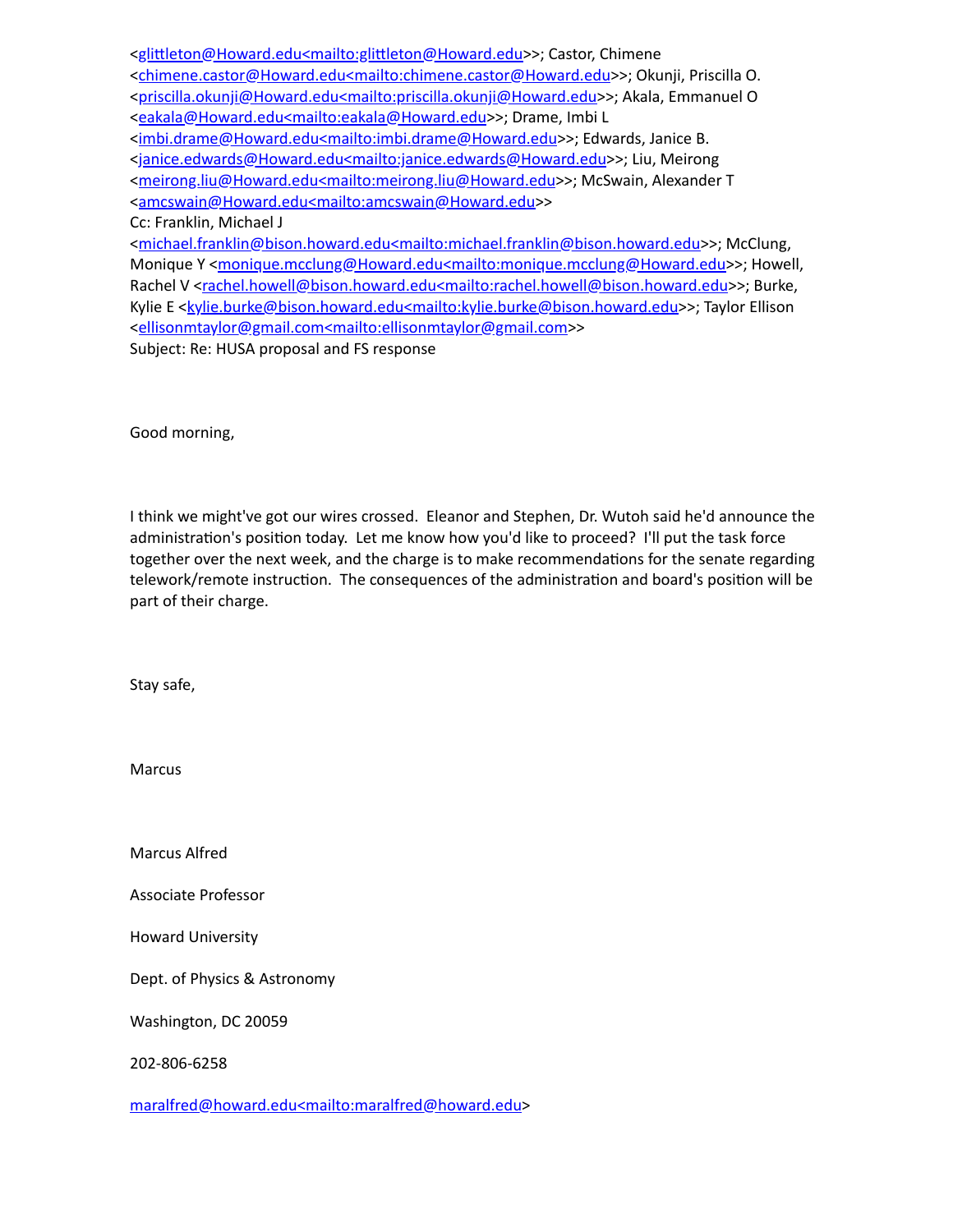| <glittleton@howard.edu<mailto:glittleton@howard.edu>&gt;; Castor, Chimene</glittleton@howard.edu<mailto:glittleton@howard.edu>                                          |
|-------------------------------------------------------------------------------------------------------------------------------------------------------------------------|
| <chimene.castor@howard.edu<mailto:chimene.castor@howard.edu>&gt;; Okunji, Priscilla O.</chimene.castor@howard.edu<mailto:chimene.castor@howard.edu>                     |
| <priscilla.okunji@howard.edu<mailto:priscilla.okunji@howard.edu>&gt;; Akala, Emmanuel O</priscilla.okunji@howard.edu<mailto:priscilla.okunji@howard.edu>                |
| <eakala@howard.edu<mailto:eakala@howard.edu>&gt;; Drame, Imbi L</eakala@howard.edu<mailto:eakala@howard.edu>                                                            |
| <imbi.drame@howard.edu<mailto:imbi.drame@howard.edu>&gt;; Edwards, Janice B.</imbi.drame@howard.edu<mailto:imbi.drame@howard.edu>                                       |
| <janice.edwards@howard.edu<mailto:janice.edwards@howard.edu>&gt;; Liu, Meirong</janice.edwards@howard.edu<mailto:janice.edwards@howard.edu>                             |
| <meirong.liu@howard.edu<mailto:meirong.liu@howard.edu>&gt;; McSwain, Alexander T</meirong.liu@howard.edu<mailto:meirong.liu@howard.edu>                                 |
| <amcswain@howard.edu<mailto:amcswain@howard.edu>&gt;</amcswain@howard.edu<mailto:amcswain@howard.edu>                                                                   |
| Cc: Franklin, Michael J                                                                                                                                                 |
| <michael.franklin@bison.howard.edu<mailto:michael.franklin@bison.howard.edu>&gt;; McClung,</michael.franklin@bison.howard.edu<mailto:michael.franklin@bison.howard.edu> |
| Monique Y <monique.mcclung@howard.edu<mailto:monique.mcclung@howard.edu>&gt;; Howell,</monique.mcclung@howard.edu<mailto:monique.mcclung@howard.edu>                    |
| Rachel V <rachel.howell@bison.howard.edu<mailto:rachel.howell@bison.howard.edu>&gt;; Burke,</rachel.howell@bison.howard.edu<mailto:rachel.howell@bison.howard.edu>      |
| Kylie E <kylie.burke@bison.howard.edu<mailto:kylie.burke@bison.howard.edu>&gt;; Taylor Ellison</kylie.burke@bison.howard.edu<mailto:kylie.burke@bison.howard.edu>       |
| <ellisonmtaylor@gmail.com<mailto:ellisonmtaylor@gmail.com>&gt;</ellisonmtaylor@gmail.com<mailto:ellisonmtaylor@gmail.com>                                               |
| Subject: Re: HUSA proposal and FS response                                                                                                                              |
|                                                                                                                                                                         |

Good morning,

I think we might've got our wires crossed. Eleanor and Stephen, Dr. Wutoh said he'd announce the administration's position today. Let me know how you'd like to proceed? I'll put the task force together over the next week, and the charge is to make recommendations for the senate regarding telework/remote instruction. The consequences of the administration and board's position will be part of their charge.

Stay safe,

Marcus

Marcus Alfred

Associate Professor

Howard University

Dept. of Physics & Astronomy

Washington, DC 20059

202-806-6258

[maralfred@howard.edu<mailto:maralfred@howard.edu](mailto:maralfred@howard.edu%3cmailto:maralfred@howard.edu)>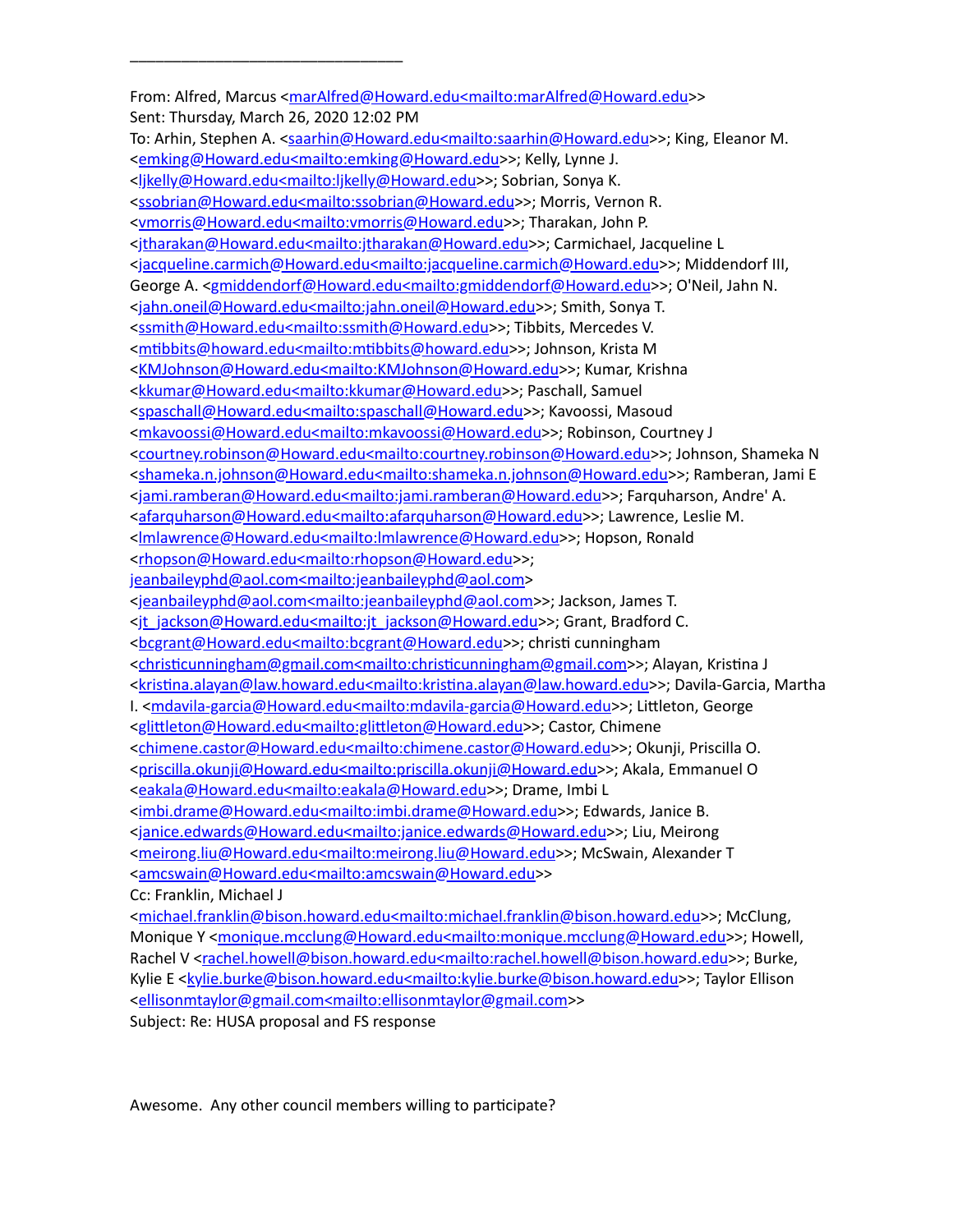# \_\_\_\_\_\_\_\_\_\_\_\_\_\_\_\_\_\_\_\_\_\_\_\_\_\_\_\_\_\_\_\_

From: Alfred, Marcus <[marAlfred@Howard.edu<mailto:marAlfred@Howard.edu](mailto:marAlfred@Howard.edu%3cmailto:marAlfred@Howard.edu)>> Sent: Thursday, March 26, 2020 12:02 PM To: Arhin, Stephen A. <[saarhin@Howard.edu<mailto:saarhin@Howard.edu>](mailto:saarhin@Howard.edu%3cmailto:saarhin@Howard.edu)>; King, Eleanor M. [<emking@Howard.edu<mailto:emking@Howard.edu>](mailto:emking@Howard.edu%3cmailto:emking@Howard.edu)>; Kelly, Lynne J. [<ljkelly@Howard.edu<mailto:ljkelly@Howard.edu](mailto:ljkelly@Howard.edu%3cmailto:ljkelly@Howard.edu)>>; Sobrian, Sonya K. [<ssobrian@Howard.edu<mailto:ssobrian@Howard.edu>](mailto:ssobrian@Howard.edu%3cmailto:ssobrian@Howard.edu)>; Morris, Vernon R. [<vmorris@Howard.edu<mailto:vmorris@Howard.edu>](mailto:vmorris@Howard.edu%3cmailto:vmorris@Howard.edu)>; Tharakan, John P. [<jtharakan@Howard.edu<mailto:jtharakan@Howard.edu>](mailto:jtharakan@Howard.edu%3cmailto:jtharakan@Howard.edu)>; Carmichael, Jacqueline L [<jacqueline.carmich@Howard.edu<mailto:jacqueline.carmich@Howard.edu>](mailto:jacqueline.carmich@Howard.edu%3cmailto:jacqueline.carmich@Howard.edu)>; Middendorf III, George A. [<gmiddendorf@Howard.edu<mailto:gmiddendorf@Howard.edu](mailto:gmiddendorf@Howard.edu%3cmailto:gmiddendorf@Howard.edu)>>; O'Neil, Jahn N. [<jahn.oneil@Howard.edu<mailto:jahn.oneil@Howard.edu](mailto:jahn.oneil@Howard.edu%3cmailto:jahn.oneil@Howard.edu)>>; Smith, Sonya T. [<ssmith@Howard.edu<mailto:ssmith@Howard.edu](mailto:ssmith@Howard.edu%3cmailto:ssmith@Howard.edu)>>; Tibbits, Mercedes V. <mtibbits@howard.edu<mailto:mtibbits@howard.edu>>; Johnson, Krista M [<KMJohnson@Howard.edu<mailto:KMJohnson@Howard.edu](mailto:KMJohnson@Howard.edu%3cmailto:KMJohnson@Howard.edu)>>; Kumar, Krishna [<kkumar@Howard.edu<mailto:kkumar@Howard.edu](mailto:kkumar@Howard.edu%3cmailto:kkumar@Howard.edu)>>; Paschall, Samuel [<spaschall@Howard.edu<mailto:spaschall@Howard.edu>](mailto:spaschall@Howard.edu%3cmailto:spaschall@Howard.edu)>; Kavoossi, Masoud [<mkavoossi@Howard.edu<mailto:mkavoossi@Howard.edu](mailto:mkavoossi@Howard.edu%3cmailto:mkavoossi@Howard.edu)>>; Robinson, Courtney J [<courtney.robinson@Howard.edu<mailto:courtney.robinson@Howard.edu](mailto:courtney.robinson@Howard.edu%3cmailto:courtney.robinson@Howard.edu)>>; Johnson, Shameka N [<shameka.n.johnson@Howard.edu<mailto:shameka.n.johnson@Howard.edu>](mailto:shameka.n.johnson@Howard.edu%3cmailto:shameka.n.johnson@Howard.edu)>; Ramberan, Jami E [<jami.ramberan@Howard.edu<mailto:jami.ramberan@Howard.edu>](mailto:jami.ramberan@Howard.edu%3cmailto:jami.ramberan@Howard.edu)>; Farquharson, Andre' A. [<afarquharson@Howard.edu<mailto:afarquharson@Howard.edu](mailto:afarquharson@Howard.edu%3cmailto:afarquharson@Howard.edu)>>; Lawrence, Leslie M. [<lmlawrence@Howard.edu<mailto:lmlawrence@Howard.edu>](mailto:lmlawrence@Howard.edu%3cmailto:lmlawrence@Howard.edu)>; Hopson, Ronald [<rhopson@Howard.edu<mailto:rhopson@Howard.edu>](mailto:rhopson@Howard.edu%3cmailto:rhopson@Howard.edu)>; [jeanbaileyphd@aol.com<mailto:jeanbaileyphd@aol.com](mailto:jeanbaileyphd@aol.com%3cmailto:jeanbaileyphd@aol.com)> [<jeanbaileyphd@aol.com<mailto:jeanbaileyphd@aol.com>](mailto:jeanbaileyphd@aol.com%3cmailto:jeanbaileyphd@aol.com)>; Jackson, James T. [<jt\\_jackson@Howard.edu<mailto:jt\\_jackson@Howard.edu>](mailto:jt_jackson@Howard.edu%3cmailto:jt_jackson@Howard.edu)>; Grant, Bradford C. [<bcgrant@Howard.edu<mailto:bcgrant@Howard.edu](mailto:bcgrant@Howard.edu%3cmailto:bcgrant@Howard.edu)>>; christi cunningham <christicunningham@gmail.com<mailto:christicunningham@gmail.com>>; Alayan, Kristina J <kristina.alayan@law.howard.edu<mailto:kristina.alayan@law.howard.edu>>; Davila-Garcia, Martha I. [<mdavila-garcia@Howard.edu<mailto:mdavila-garcia@Howard.edu>](mailto:mdavila-garcia@Howard.edu%3cmailto:mdavila-garcia@Howard.edu)>; Littleton, George <glittleton@Howard.edu<mailto:glittleton@Howard.edu>>; Castor, Chimene [<chimene.castor@Howard.edu<mailto:chimene.castor@Howard.edu](mailto:chimene.castor@Howard.edu%3cmailto:chimene.castor@Howard.edu)>>; Okunji, Priscilla O. [<priscilla.okunji@Howard.edu<mailto:priscilla.okunji@Howard.edu>](mailto:priscilla.okunji@Howard.edu%3cmailto:priscilla.okunji@Howard.edu)>; Akala, Emmanuel O [<eakala@Howard.edu<mailto:eakala@Howard.edu>](mailto:eakala@Howard.edu%3cmailto:eakala@Howard.edu)>; Drame, Imbi L [<imbi.drame@Howard.edu<mailto:imbi.drame@Howard.edu](mailto:imbi.drame@Howard.edu%3cmailto:imbi.drame@Howard.edu)>>; Edwards, Janice B. [<janice.edwards@Howard.edu<mailto:janice.edwards@Howard.edu>](mailto:janice.edwards@Howard.edu%3cmailto:janice.edwards@Howard.edu)>; Liu, Meirong [<meirong.liu@Howard.edu<mailto:meirong.liu@Howard.edu](mailto:meirong.liu@Howard.edu%3cmailto:meirong.liu@Howard.edu)>>; McSwain, Alexander T [<amcswain@Howard.edu<mailto:amcswain@Howard.edu](mailto:amcswain@Howard.edu%3cmailto:amcswain@Howard.edu)>> Cc: Franklin, Michael J [<michael.franklin@bison.howard.edu<mailto:michael.franklin@bison.howard.edu](mailto:michael.franklin@bison.howard.edu%3cmailto:michael.franklin@bison.howard.edu)>>; McClung, Monique Y <[monique.mcclung@Howard.edu<mailto:monique.mcclung@Howard.edu](mailto:monique.mcclung@Howard.edu%3cmailto:monique.mcclung@Howard.edu)>>; Howell, Rachel V <[rachel.howell@bison.howard.edu<mailto:rachel.howell@bison.howard.edu](mailto:rachel.howell@bison.howard.edu%3cmailto:rachel.howell@bison.howard.edu)>>; Burke, Kylie E [<kylie.burke@bison.howard.edu<mailto:kylie.burke@bison.howard.edu>](mailto:kylie.burke@bison.howard.edu%3cmailto:kylie.burke@bison.howard.edu)>; Taylor Ellison

[<ellisonmtaylor@gmail.com<mailto:ellisonmtaylor@gmail.com>](mailto:ellisonmtaylor@gmail.com%3cmailto:ellisonmtaylor@gmail.com)>

Subject: Re: HUSA proposal and FS response

Awesome. Any other council members willing to participate?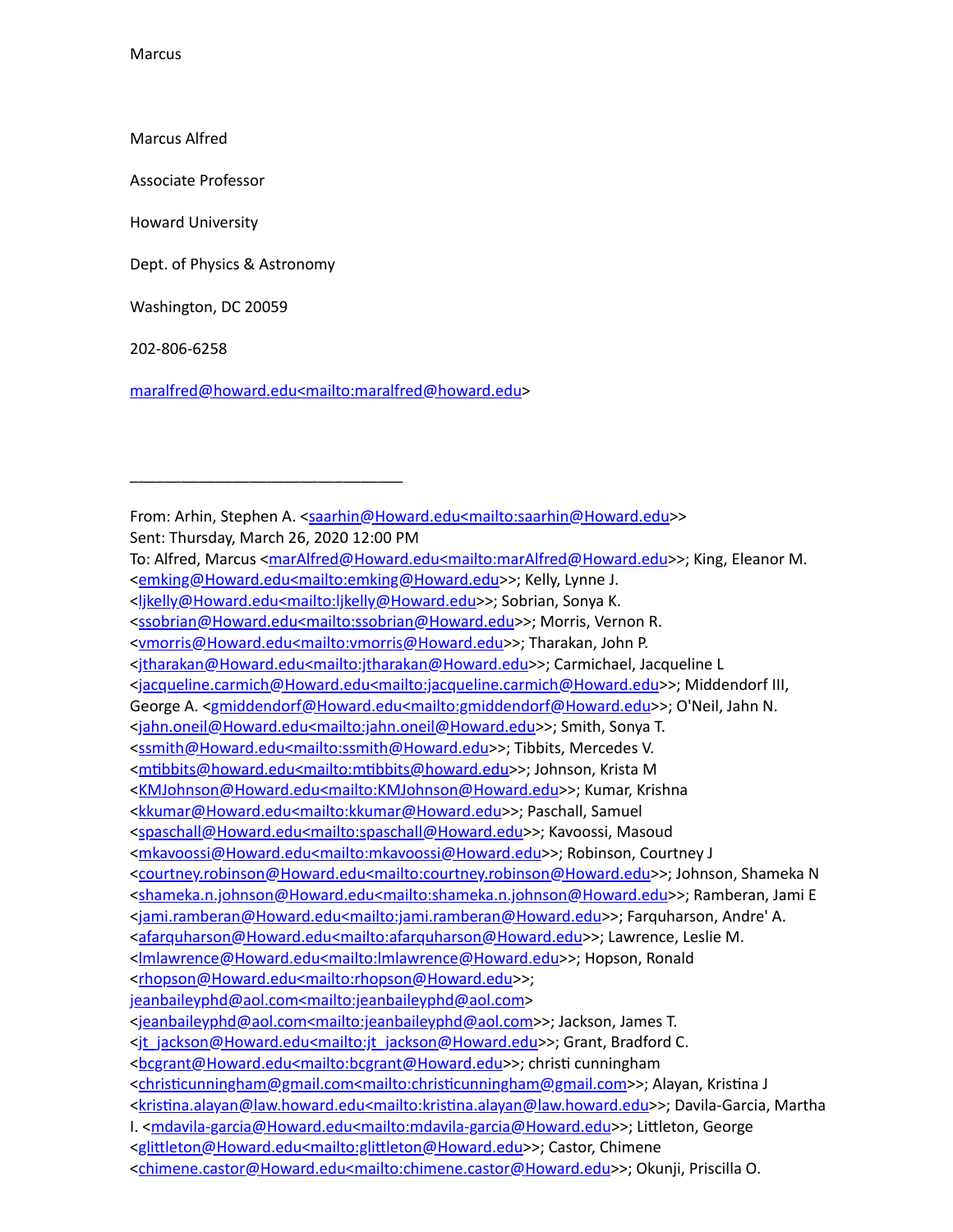**Marcus** 

Marcus Alfred

Associate Professor

Howard University

Dept. of Physics & Astronomy

\_\_\_\_\_\_\_\_\_\_\_\_\_\_\_\_\_\_\_\_\_\_\_\_\_\_\_\_\_\_\_\_

Washington, DC 20059

202-806-6258

[maralfred@howard.edu<mailto:maralfred@howard.edu](mailto:maralfred@howard.edu%3cmailto:maralfred@howard.edu)>

From: Arhin, Stephen A. [<saarhin@Howard.edu<mailto:saarhin@Howard.edu](mailto:saarhin@Howard.edu%3cmailto:saarhin@Howard.edu)>> Sent: Thursday, March 26, 2020 12:00 PM

To: Alfred, Marcus < $m$ arAlfred@Howard.edu<mailto:marAlfred@Howard.edu>>; King, Eleanor M.

[<emking@Howard.edu<mailto:emking@Howard.edu>](mailto:emking@Howard.edu%3cmailto:emking@Howard.edu)>; Kelly, Lynne J.

[<jacqueline.carmich@Howard.edu<mailto:jacqueline.carmich@Howard.edu>](mailto:jacqueline.carmich@Howard.edu%3cmailto:jacqueline.carmich@Howard.edu)>; Middendorf III,

George A. [<gmiddendorf@Howard.edu<mailto:gmiddendorf@Howard.edu](mailto:gmiddendorf@Howard.edu%3cmailto:gmiddendorf@Howard.edu)>>; O'Neil, Jahn N.

[<jahn.oneil@Howard.edu<mailto:jahn.oneil@Howard.edu](mailto:jahn.oneil@Howard.edu%3cmailto:jahn.oneil@Howard.edu)>>; Smith, Sonya T.

[<ssmith@Howard.edu<mailto:ssmith@Howard.edu](mailto:ssmith@Howard.edu%3cmailto:ssmith@Howard.edu)>>; Tibbits, Mercedes V.

```
<mtibbits@howard.edu<mailto:mtibbits@howard.edu>>; Johnson, Krista M
```
[<KMJohnson@Howard.edu<mailto:KMJohnson@Howard.edu](mailto:KMJohnson@Howard.edu%3cmailto:KMJohnson@Howard.edu)>>; Kumar, Krishna

[<kkumar@Howard.edu<mailto:kkumar@Howard.edu](mailto:kkumar@Howard.edu%3cmailto:kkumar@Howard.edu)>>; Paschall, Samuel

```
<spaschall@Howard.edu<mailto:spaschall@Howard.edu>>; Kavoossi, Masoud
```

```
<mkavoossi@Howard.edu<mailto:mkavoossi@Howard.edu>>; Robinson, Courtney J
```

```
<courtney.robinson@Howard.edu<mailto:courtney.robinson@Howard.edu>>; Johnson, Shameka N
```

```
<shameka.n.johnson@Howard.edu<mailto:shameka.n.johnson@Howard.edu>>; Ramberan, Jami E
```

```
<jami.ramberan@Howard.edu<mailto:jami.ramberan@Howard.edu>>; Farquharson, Andre' A.
```
[<afarquharson@Howard.edu<mailto:afarquharson@Howard.edu](mailto:afarquharson@Howard.edu%3cmailto:afarquharson@Howard.edu)>>; Lawrence, Leslie M.

<lmlawrence@Howard.edu<mailto:Imlawrence@Howard.edu>>; Hopson, Ronald

```
<rhopson@Howard.edu<mailto:rhopson@Howard.edu>>;
```
[jeanbaileyphd@aol.com<mailto:jeanbaileyphd@aol.com](mailto:jeanbaileyphd@aol.com%3cmailto:jeanbaileyphd@aol.com)>

```
<jeanbaileyphd@aol.com<mailto:jeanbaileyphd@aol.com>>; Jackson, James T.
```

```
<jt_jackson@Howard.edu<mailto:jt_jackson@Howard.edu>>; Grant, Bradford C.
```
[<bcgrant@Howard.edu<mailto:bcgrant@Howard.edu](mailto:bcgrant@Howard.edu%3cmailto:bcgrant@Howard.edu)>>; christi cunningham

```
<christicunningham@gmail.com<mailto:christicunningham@gmail.com>>; Alayan, Kristina J
```
- <kristina.alayan@law.howard.edu<mailto:kristina.alayan@law.howard.edu>>; Davila-Garcia, Martha
- I. [<mdavila-garcia@Howard.edu<mailto:mdavila-garcia@Howard.edu>](mailto:mdavila-garcia@Howard.edu%3cmailto:mdavila-garcia@Howard.edu)>; Littleton, George

[<chimene.castor@Howard.edu<mailto:chimene.castor@Howard.edu](mailto:chimene.castor@Howard.edu%3cmailto:chimene.castor@Howard.edu)>>; Okunji, Priscilla O.

[<sup>&</sup>lt;ljkelly@Howard.edu<mailto:ljkelly@Howard.edu](mailto:ljkelly@Howard.edu%3cmailto:ljkelly@Howard.edu)>>; Sobrian, Sonya K.

[<sup>&</sup>lt;ssobrian@Howard.edu<mailto:ssobrian@Howard.edu>](mailto:ssobrian@Howard.edu%3cmailto:ssobrian@Howard.edu)>; Morris, Vernon R.

[<sup>&</sup>lt;vmorris@Howard.edu<mailto:vmorris@Howard.edu>](mailto:vmorris@Howard.edu%3cmailto:vmorris@Howard.edu)>; Tharakan, John P.

[<sup>&</sup>lt;jtharakan@Howard.edu<mailto:jtharakan@Howard.edu>](mailto:jtharakan@Howard.edu%3cmailto:jtharakan@Howard.edu)>; Carmichael, Jacqueline L

<sup>&</sup>lt;glittleton@Howard.edu<mailto:glittleton@Howard.edu>>; Castor, Chimene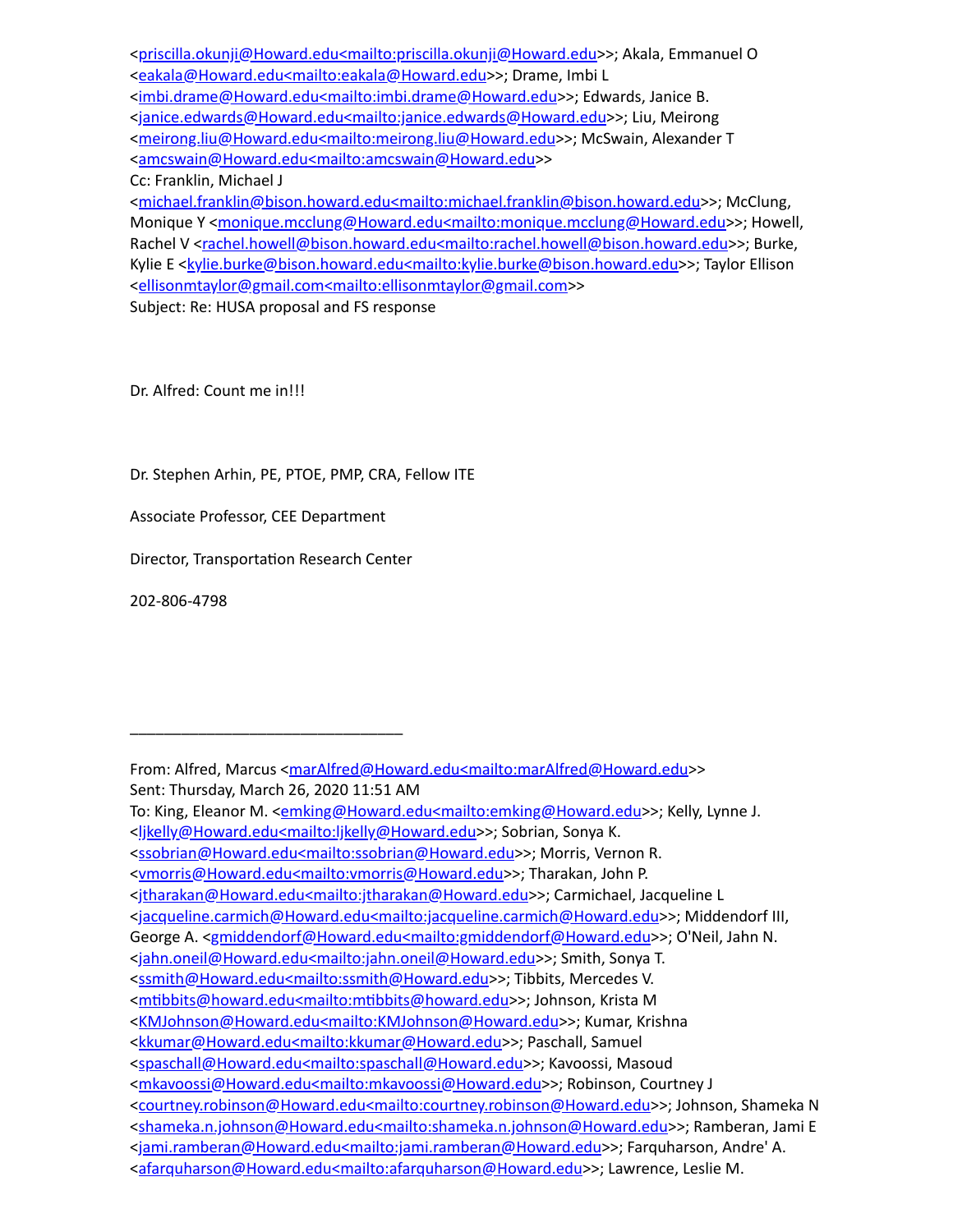[<priscilla.okunji@Howard.edu<mailto:priscilla.okunji@Howard.edu>](mailto:priscilla.okunji@Howard.edu%3cmailto:priscilla.okunji@Howard.edu)>; Akala, Emmanuel O [<eakala@Howard.edu<mailto:eakala@Howard.edu>](mailto:eakala@Howard.edu%3cmailto:eakala@Howard.edu)>; Drame, Imbi L [<imbi.drame@Howard.edu<mailto:imbi.drame@Howard.edu](mailto:imbi.drame@Howard.edu%3cmailto:imbi.drame@Howard.edu)>>; Edwards, Janice B. [<janice.edwards@Howard.edu<mailto:janice.edwards@Howard.edu>](mailto:janice.edwards@Howard.edu%3cmailto:janice.edwards@Howard.edu)>; Liu, Meirong [<meirong.liu@Howard.edu<mailto:meirong.liu@Howard.edu](mailto:meirong.liu@Howard.edu%3cmailto:meirong.liu@Howard.edu)>>; McSwain, Alexander T [<amcswain@Howard.edu<mailto:amcswain@Howard.edu](mailto:amcswain@Howard.edu%3cmailto:amcswain@Howard.edu)>> Cc: Franklin, Michael J [<michael.franklin@bison.howard.edu<mailto:michael.franklin@bison.howard.edu](mailto:michael.franklin@bison.howard.edu%3cmailto:michael.franklin@bison.howard.edu)>>; McClung, Monique Y <[monique.mcclung@Howard.edu<mailto:monique.mcclung@Howard.edu](mailto:monique.mcclung@Howard.edu%3cmailto:monique.mcclung@Howard.edu)>>; Howell, Rachel V <[rachel.howell@bison.howard.edu<mailto:rachel.howell@bison.howard.edu](mailto:rachel.howell@bison.howard.edu%3cmailto:rachel.howell@bison.howard.edu)>>; Burke,

Kylie E <**kylie.burke@bison.howard.edu<mailto:kylie.burke@bison.howard.edu</u>>>; Taylor Ellison** [<ellisonmtaylor@gmail.com<mailto:ellisonmtaylor@gmail.com>](mailto:ellisonmtaylor@gmail.com%3cmailto:ellisonmtaylor@gmail.com)>

Subject: Re: HUSA proposal and FS response

Dr. Alfred: Count me in!!!

Dr. Stephen Arhin, PE, PTOE, PMP, CRA, Fellow ITE

Associate Professor, CEE Department

Director, Transportation Research Center

\_\_\_\_\_\_\_\_\_\_\_\_\_\_\_\_\_\_\_\_\_\_\_\_\_\_\_\_\_\_\_\_

202-806-4798

From: Alfred, Marcus <[marAlfred@Howard.edu<mailto:marAlfred@Howard.edu](mailto:marAlfred@Howard.edu%3cmailto:marAlfred@Howard.edu)>> Sent: Thursday, March 26, 2020 11:51 AM

To: King, Eleanor M. <**emking@Howard.edu<mailto:emking@Howard.edu>>**; Kelly, Lynne J.

[<sup>&</sup>lt;ljkelly@Howard.edu<mailto:ljkelly@Howard.edu](mailto:ljkelly@Howard.edu%3cmailto:ljkelly@Howard.edu)>>; Sobrian, Sonya K.

[<sup>&</sup>lt;ssobrian@Howard.edu<mailto:ssobrian@Howard.edu>](mailto:ssobrian@Howard.edu%3cmailto:ssobrian@Howard.edu)>; Morris, Vernon R.

[<sup>&</sup>lt;vmorris@Howard.edu<mailto:vmorris@Howard.edu>](mailto:vmorris@Howard.edu%3cmailto:vmorris@Howard.edu)>; Tharakan, John P.

[<sup>&</sup>lt;jtharakan@Howard.edu<mailto:jtharakan@Howard.edu>](mailto:jtharakan@Howard.edu%3cmailto:jtharakan@Howard.edu)>; Carmichael, Jacqueline L

[<sup>&</sup>lt;jacqueline.carmich@Howard.edu<mailto:jacqueline.carmich@Howard.edu>](mailto:jacqueline.carmich@Howard.edu%3cmailto:jacqueline.carmich@Howard.edu)>; Middendorf III,

George A. [<gmiddendorf@Howard.edu<mailto:gmiddendorf@Howard.edu](mailto:gmiddendorf@Howard.edu%3cmailto:gmiddendorf@Howard.edu)>>; O'Neil, Jahn N.

[<sup>&</sup>lt;jahn.oneil@Howard.edu<mailto:jahn.oneil@Howard.edu](mailto:jahn.oneil@Howard.edu%3cmailto:jahn.oneil@Howard.edu)>>; Smith, Sonya T.

[<sup>&</sup>lt;ssmith@Howard.edu<mailto:ssmith@Howard.edu](mailto:ssmith@Howard.edu%3cmailto:ssmith@Howard.edu)>>; Tibbits, Mercedes V.

<sup>&</sup>lt;mtibbits@howard.edu<mailto:mtibbits@howard.edu>>; Johnson, Krista M

[<sup>&</sup>lt;KMJohnson@Howard.edu<mailto:KMJohnson@Howard.edu](mailto:KMJohnson@Howard.edu%3cmailto:KMJohnson@Howard.edu)>>; Kumar, Krishna

[<sup>&</sup>lt;kkumar@Howard.edu<mailto:kkumar@Howard.edu](mailto:kkumar@Howard.edu%3cmailto:kkumar@Howard.edu)>>; Paschall, Samuel

[<sup>&</sup>lt;spaschall@Howard.edu<mailto:spaschall@Howard.edu>](mailto:spaschall@Howard.edu%3cmailto:spaschall@Howard.edu)>; Kavoossi, Masoud

[<sup>&</sup>lt;mkavoossi@Howard.edu<mailto:mkavoossi@Howard.edu](mailto:mkavoossi@Howard.edu%3cmailto:mkavoossi@Howard.edu)>>; Robinson, Courtney J

[<sup>&</sup>lt;courtney.robinson@Howard.edu<mailto:courtney.robinson@Howard.edu](mailto:courtney.robinson@Howard.edu%3cmailto:courtney.robinson@Howard.edu)>>; Johnson, Shameka N [<shameka.n.johnson@Howard.edu<mailto:shameka.n.johnson@Howard.edu>](mailto:shameka.n.johnson@Howard.edu%3cmailto:shameka.n.johnson@Howard.edu)>; Ramberan, Jami E

[<sup>&</sup>lt;jami.ramberan@Howard.edu<mailto:jami.ramberan@Howard.edu>](mailto:jami.ramberan@Howard.edu%3cmailto:jami.ramberan@Howard.edu)>; Farquharson, Andre' A.

[<sup>&</sup>lt;afarquharson@Howard.edu<mailto:afarquharson@Howard.edu](mailto:afarquharson@Howard.edu%3cmailto:afarquharson@Howard.edu)>>; Lawrence, Leslie M.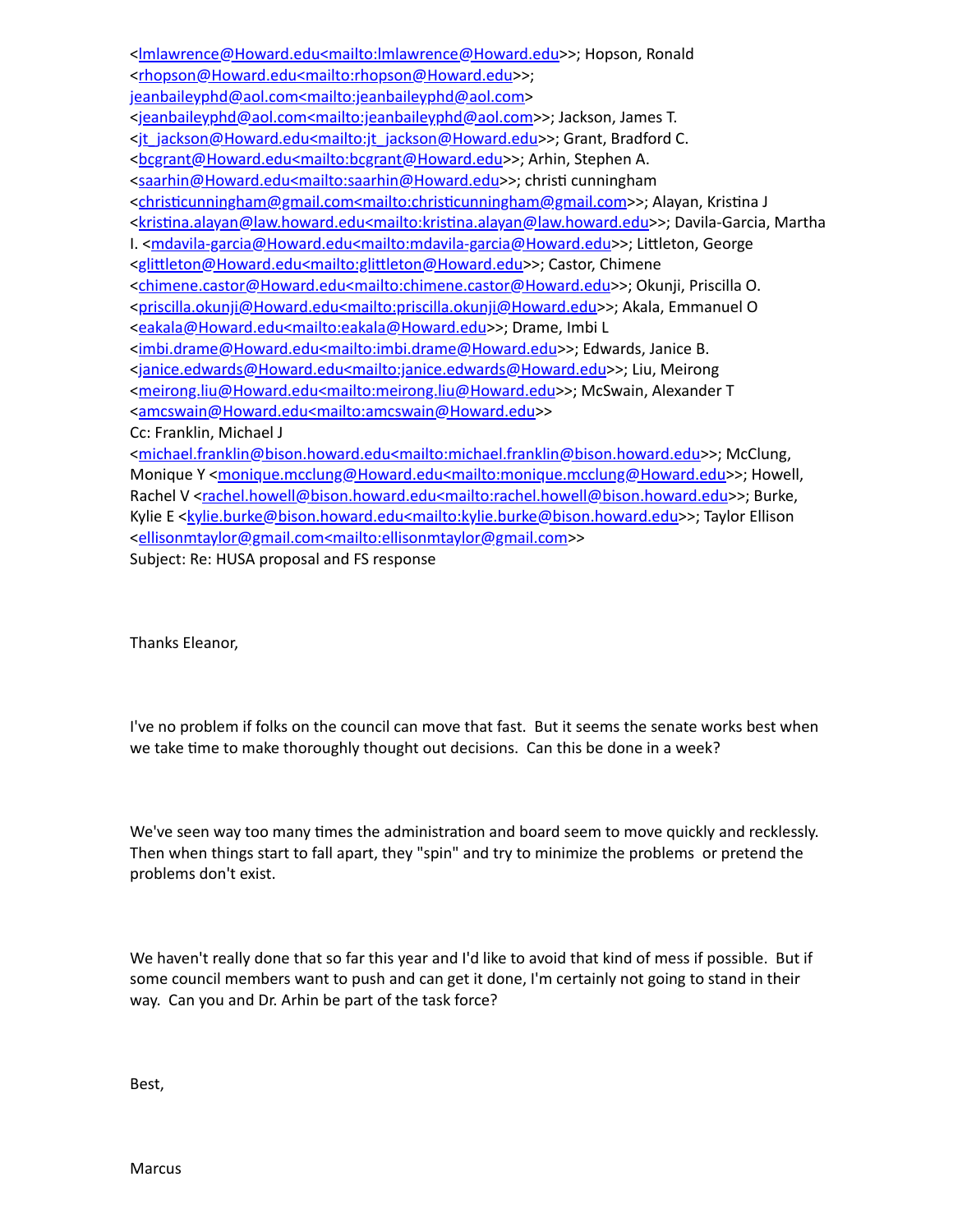[<lmlawrence@Howard.edu<mailto:lmlawrence@Howard.edu>](mailto:lmlawrence@Howard.edu%3cmailto:lmlawrence@Howard.edu)>; Hopson, Ronald [<rhopson@Howard.edu<mailto:rhopson@Howard.edu>](mailto:rhopson@Howard.edu%3cmailto:rhopson@Howard.edu)>; [jeanbaileyphd@aol.com<mailto:jeanbaileyphd@aol.com](mailto:jeanbaileyphd@aol.com%3cmailto:jeanbaileyphd@aol.com)> [<jeanbaileyphd@aol.com<mailto:jeanbaileyphd@aol.com>](mailto:jeanbaileyphd@aol.com%3cmailto:jeanbaileyphd@aol.com)>; Jackson, James T. [<jt\\_jackson@Howard.edu<mailto:jt\\_jackson@Howard.edu>](mailto:jt_jackson@Howard.edu%3cmailto:jt_jackson@Howard.edu)>; Grant, Bradford C. [<bcgrant@Howard.edu<mailto:bcgrant@Howard.edu](mailto:bcgrant@Howard.edu%3cmailto:bcgrant@Howard.edu)>>; Arhin, Stephen A. [<saarhin@Howard.edu<mailto:saarhin@Howard.edu>](mailto:saarhin@Howard.edu%3cmailto:saarhin@Howard.edu)>; christi cunningham <christicunningham@gmail.com<mailto:christicunningham@gmail.com>>; Alayan, Kristina J <kristina.alayan@law.howard.edu<mailto:kristina.alayan@law.howard.edu>>; Davila-Garcia, Martha I. [<mdavila-garcia@Howard.edu<mailto:mdavila-garcia@Howard.edu>](mailto:mdavila-garcia@Howard.edu%3cmailto:mdavila-garcia@Howard.edu)>; Littleton, George <glittleton@Howard.edu<mailto:glittleton@Howard.edu>>; Castor, Chimene [<chimene.castor@Howard.edu<mailto:chimene.castor@Howard.edu](mailto:chimene.castor@Howard.edu%3cmailto:chimene.castor@Howard.edu)>>; Okunji, Priscilla O. [<priscilla.okunji@Howard.edu<mailto:priscilla.okunji@Howard.edu>](mailto:priscilla.okunji@Howard.edu%3cmailto:priscilla.okunji@Howard.edu)>; Akala, Emmanuel O [<eakala@Howard.edu<mailto:eakala@Howard.edu>](mailto:eakala@Howard.edu%3cmailto:eakala@Howard.edu)>; Drame, Imbi L [<imbi.drame@Howard.edu<mailto:imbi.drame@Howard.edu](mailto:imbi.drame@Howard.edu%3cmailto:imbi.drame@Howard.edu)>>; Edwards, Janice B. [<janice.edwards@Howard.edu<mailto:janice.edwards@Howard.edu>](mailto:janice.edwards@Howard.edu%3cmailto:janice.edwards@Howard.edu)>; Liu, Meirong [<meirong.liu@Howard.edu<mailto:meirong.liu@Howard.edu](mailto:meirong.liu@Howard.edu%3cmailto:meirong.liu@Howard.edu)>>; McSwain, Alexander T [<amcswain@Howard.edu<mailto:amcswain@Howard.edu](mailto:amcswain@Howard.edu%3cmailto:amcswain@Howard.edu)>> Cc: Franklin, Michael J [<michael.franklin@bison.howard.edu<mailto:michael.franklin@bison.howard.edu](mailto:michael.franklin@bison.howard.edu%3cmailto:michael.franklin@bison.howard.edu)>>; McClung, Monique Y <[monique.mcclung@Howard.edu<mailto:monique.mcclung@Howard.edu](mailto:monique.mcclung@Howard.edu%3cmailto:monique.mcclung@Howard.edu)>>; Howell, Rachel V <[rachel.howell@bison.howard.edu<mailto:rachel.howell@bison.howard.edu](mailto:rachel.howell@bison.howard.edu%3cmailto:rachel.howell@bison.howard.edu)>>; Burke, Kylie E [<kylie.burke@bison.howard.edu<mailto:kylie.burke@bison.howard.edu>](mailto:kylie.burke@bison.howard.edu%3cmailto:kylie.burke@bison.howard.edu)>; Taylor Ellison [<ellisonmtaylor@gmail.com<mailto:ellisonmtaylor@gmail.com>](mailto:ellisonmtaylor@gmail.com%3cmailto:ellisonmtaylor@gmail.com)> Subject: Re: HUSA proposal and FS response

Thanks Eleanor,

I've no problem if folks on the council can move that fast. But it seems the senate works best when we take time to make thoroughly thought out decisions. Can this be done in a week?

We've seen way too many times the administration and board seem to move quickly and recklessly. Then when things start to fall apart, they "spin" and try to minimize the problems or pretend the problems don't exist.

We haven't really done that so far this year and I'd like to avoid that kind of mess if possible. But if some council members want to push and can get it done, I'm certainly not going to stand in their way. Can you and Dr. Arhin be part of the task force?

Best,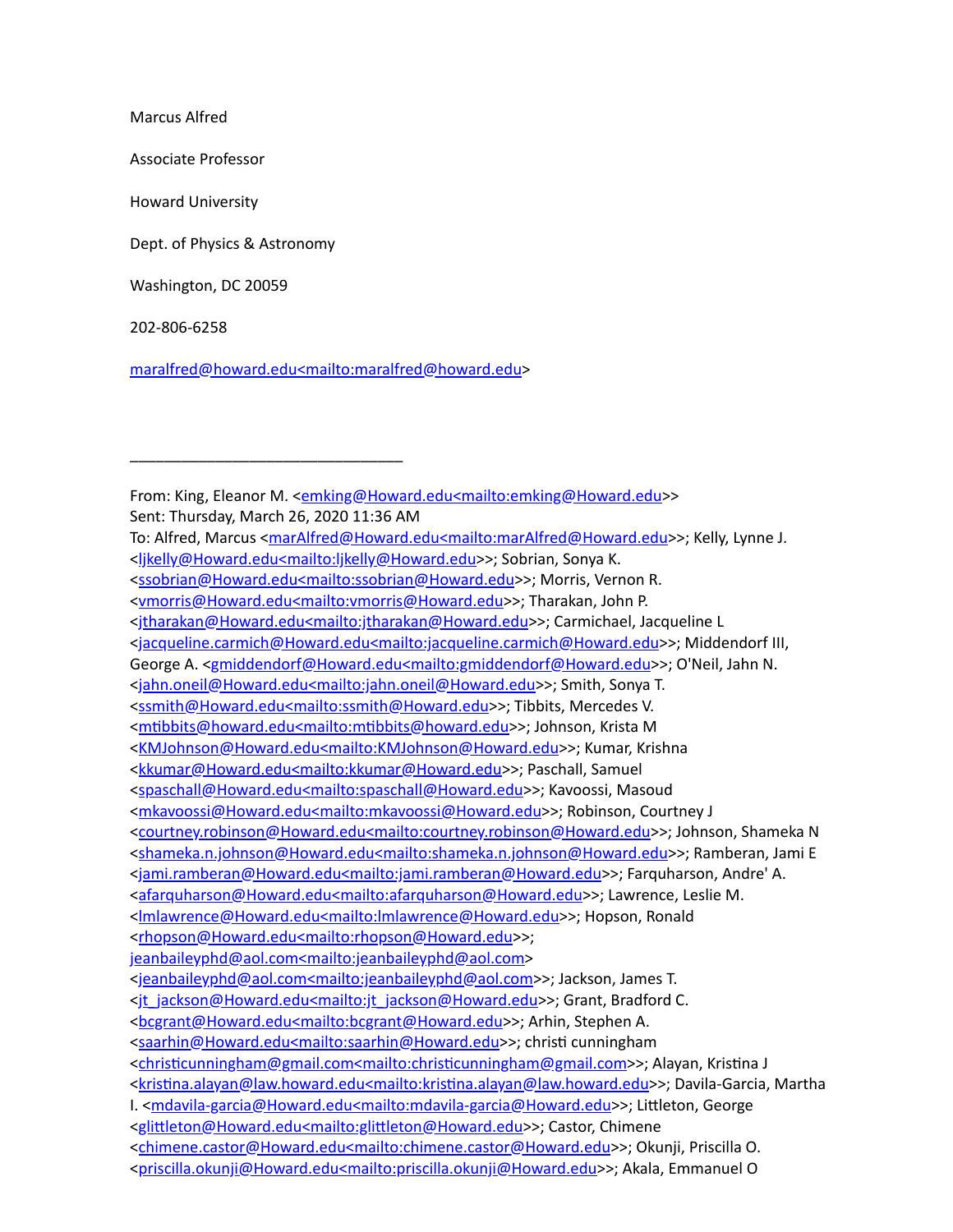Marcus Alfred

Associate Professor

Howard University

Dept. of Physics & Astronomy

\_\_\_\_\_\_\_\_\_\_\_\_\_\_\_\_\_\_\_\_\_\_\_\_\_\_\_\_\_\_\_\_

Washington, DC 20059

202-806-6258

[maralfred@howard.edu<mailto:maralfred@howard.edu](mailto:maralfred@howard.edu%3cmailto:maralfred@howard.edu)>

From: King, Eleanor M. <[emking@Howard.edu<mailto:emking@Howard.edu>](mailto:emking@Howard.edu%3cmailto:emking@Howard.edu)> Sent: Thursday, March 26, 2020 11:36 AM To: Alfred, Marcus < $frac{Afred@Howard.edumain:markfred@Howard.edu>>>$  Kelly, Lynne J. [<ljkelly@Howard.edu<mailto:ljkelly@Howard.edu](mailto:ljkelly@Howard.edu%3cmailto:ljkelly@Howard.edu)>>; Sobrian, Sonya K. [<ssobrian@Howard.edu<mailto:ssobrian@Howard.edu>](mailto:ssobrian@Howard.edu%3cmailto:ssobrian@Howard.edu)>; Morris, Vernon R. [<vmorris@Howard.edu<mailto:vmorris@Howard.edu>](mailto:vmorris@Howard.edu%3cmailto:vmorris@Howard.edu)>; Tharakan, John P. [<jtharakan@Howard.edu<mailto:jtharakan@Howard.edu>](mailto:jtharakan@Howard.edu%3cmailto:jtharakan@Howard.edu)>; Carmichael, Jacqueline L [<jacqueline.carmich@Howard.edu<mailto:jacqueline.carmich@Howard.edu>](mailto:jacqueline.carmich@Howard.edu%3cmailto:jacqueline.carmich@Howard.edu)>; Middendorf III, George A. <**gmiddendorf@Howard.edu<mailto:gmiddendorf@Howard.edu>>; O'Neil, Jahn N.** [<jahn.oneil@Howard.edu<mailto:jahn.oneil@Howard.edu](mailto:jahn.oneil@Howard.edu%3cmailto:jahn.oneil@Howard.edu)>>; Smith, Sonya T. [<ssmith@Howard.edu<mailto:ssmith@Howard.edu](mailto:ssmith@Howard.edu%3cmailto:ssmith@Howard.edu)>>; Tibbits, Mercedes V. <mtibbits@howard.edu<mailto:mtibbits@howard.edu>>; Johnson, Krista M [<KMJohnson@Howard.edu<mailto:KMJohnson@Howard.edu](mailto:KMJohnson@Howard.edu%3cmailto:KMJohnson@Howard.edu)>>; Kumar, Krishna [<kkumar@Howard.edu<mailto:kkumar@Howard.edu](mailto:kkumar@Howard.edu%3cmailto:kkumar@Howard.edu)>>; Paschall, Samuel [<spaschall@Howard.edu<mailto:spaschall@Howard.edu>](mailto:spaschall@Howard.edu%3cmailto:spaschall@Howard.edu)>; Kavoossi, Masoud [<mkavoossi@Howard.edu<mailto:mkavoossi@Howard.edu](mailto:mkavoossi@Howard.edu%3cmailto:mkavoossi@Howard.edu)>>; Robinson, Courtney J [<courtney.robinson@Howard.edu<mailto:courtney.robinson@Howard.edu](mailto:courtney.robinson@Howard.edu%3cmailto:courtney.robinson@Howard.edu)>>; Johnson, Shameka N [<shameka.n.johnson@Howard.edu<mailto:shameka.n.johnson@Howard.edu>](mailto:shameka.n.johnson@Howard.edu%3cmailto:shameka.n.johnson@Howard.edu)>; Ramberan, Jami E [<jami.ramberan@Howard.edu<mailto:jami.ramberan@Howard.edu>](mailto:jami.ramberan@Howard.edu%3cmailto:jami.ramberan@Howard.edu)>; Farquharson, Andre' A. [<afarquharson@Howard.edu<mailto:afarquharson@Howard.edu](mailto:afarquharson@Howard.edu%3cmailto:afarquharson@Howard.edu)>>; Lawrence, Leslie M. [<lmlawrence@Howard.edu<mailto:lmlawrence@Howard.edu>](mailto:lmlawrence@Howard.edu%3cmailto:lmlawrence@Howard.edu)>; Hopson, Ronald [<rhopson@Howard.edu<mailto:rhopson@Howard.edu>](mailto:rhopson@Howard.edu%3cmailto:rhopson@Howard.edu)>; [jeanbaileyphd@aol.com<mailto:jeanbaileyphd@aol.com](mailto:jeanbaileyphd@aol.com%3cmailto:jeanbaileyphd@aol.com)> [<jeanbaileyphd@aol.com<mailto:jeanbaileyphd@aol.com>](mailto:jeanbaileyphd@aol.com%3cmailto:jeanbaileyphd@aol.com)>; Jackson, James T. [<jt\\_jackson@Howard.edu<mailto:jt\\_jackson@Howard.edu>](mailto:jt_jackson@Howard.edu%3cmailto:jt_jackson@Howard.edu)>; Grant, Bradford C. [<bcgrant@Howard.edu<mailto:bcgrant@Howard.edu](mailto:bcgrant@Howard.edu%3cmailto:bcgrant@Howard.edu)>>; Arhin, Stephen A. [<saarhin@Howard.edu<mailto:saarhin@Howard.edu>](mailto:saarhin@Howard.edu%3cmailto:saarhin@Howard.edu)>; christi cunningham <christicunningham@gmail.com<mailto:christicunningham@gmail.com>>; Alayan, Kristina J <kristina.alayan@law.howard.edu<mailto:kristina.alayan@law.howard.edu>>; Davila-Garcia, Martha I. [<mdavila-garcia@Howard.edu<mailto:mdavila-garcia@Howard.edu>](mailto:mdavila-garcia@Howard.edu%3cmailto:mdavila-garcia@Howard.edu)>; Littleton, George <glittleton@Howard.edu<mailto:glittleton@Howard.edu>>; Castor, Chimene [<chimene.castor@Howard.edu<mailto:chimene.castor@Howard.edu](mailto:chimene.castor@Howard.edu%3cmailto:chimene.castor@Howard.edu)>>; Okunji, Priscilla O. [<priscilla.okunji@Howard.edu<mailto:priscilla.okunji@Howard.edu>](mailto:priscilla.okunji@Howard.edu%3cmailto:priscilla.okunji@Howard.edu)>; Akala, Emmanuel O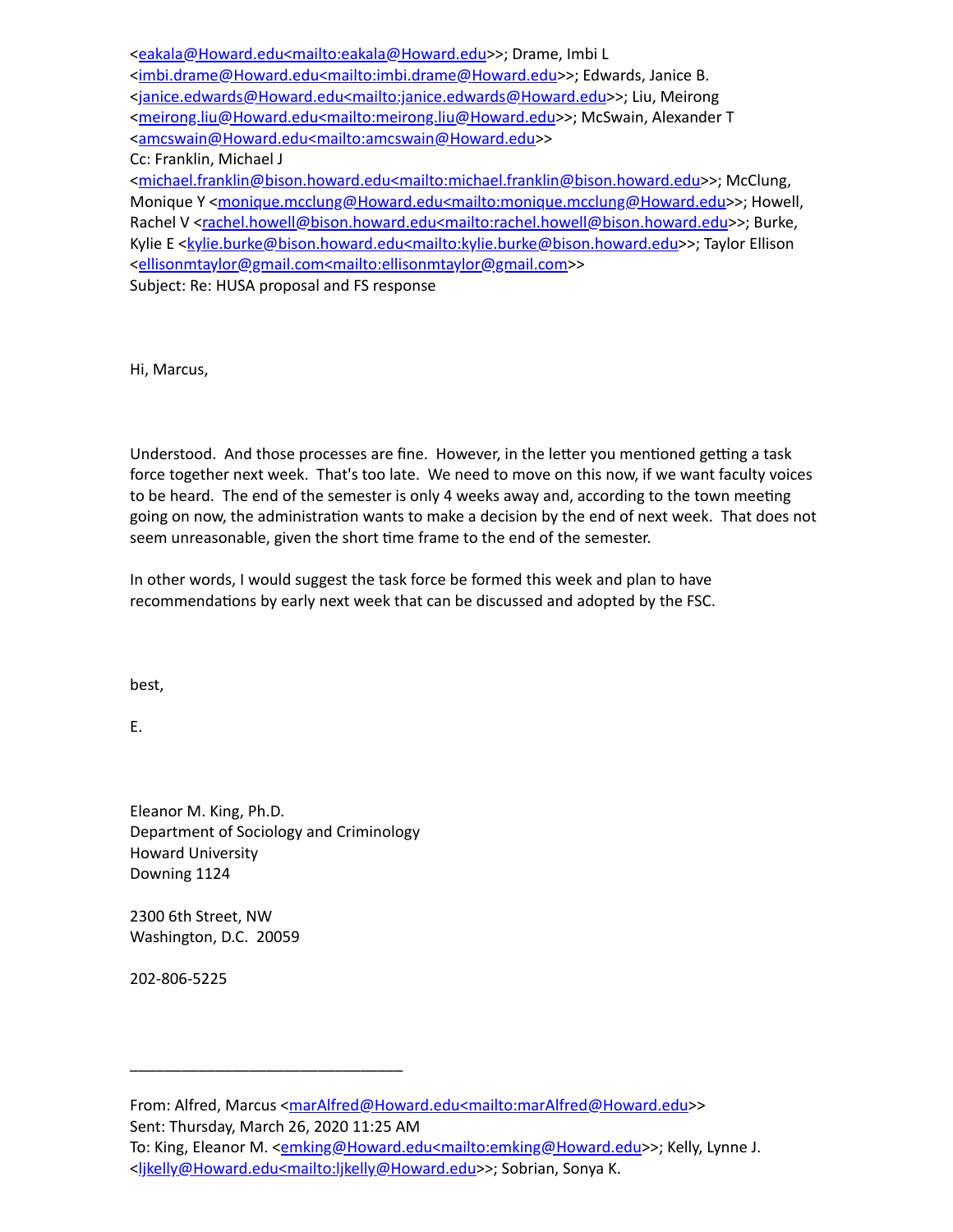[<eakala@Howard.edu<mailto:eakala@Howard.edu>](mailto:eakala@Howard.edu%3cmailto:eakala@Howard.edu)>; Drame, Imbi L [<imbi.drame@Howard.edu<mailto:imbi.drame@Howard.edu](mailto:imbi.drame@Howard.edu%3cmailto:imbi.drame@Howard.edu)>>; Edwards, Janice B. [<janice.edwards@Howard.edu<mailto:janice.edwards@Howard.edu>](mailto:janice.edwards@Howard.edu%3cmailto:janice.edwards@Howard.edu)>; Liu, Meirong [<meirong.liu@Howard.edu<mailto:meirong.liu@Howard.edu](mailto:meirong.liu@Howard.edu%3cmailto:meirong.liu@Howard.edu)>>; McSwain, Alexander T [<amcswain@Howard.edu<mailto:amcswain@Howard.edu](mailto:amcswain@Howard.edu%3cmailto:amcswain@Howard.edu)>>

Cc: Franklin, Michael J

[<michael.franklin@bison.howard.edu<mailto:michael.franklin@bison.howard.edu](mailto:michael.franklin@bison.howard.edu%3cmailto:michael.franklin@bison.howard.edu)>>; McClung, Monique Y <[monique.mcclung@Howard.edu<mailto:monique.mcclung@Howard.edu](mailto:monique.mcclung@Howard.edu%3cmailto:monique.mcclung@Howard.edu)>>; Howell, Rachel V <[rachel.howell@bison.howard.edu<mailto:rachel.howell@bison.howard.edu](mailto:rachel.howell@bison.howard.edu%3cmailto:rachel.howell@bison.howard.edu)>>; Burke, Kylie E [<kylie.burke@bison.howard.edu<mailto:kylie.burke@bison.howard.edu>](mailto:kylie.burke@bison.howard.edu%3cmailto:kylie.burke@bison.howard.edu)>; Taylor Ellison [<ellisonmtaylor@gmail.com<mailto:ellisonmtaylor@gmail.com>](mailto:ellisonmtaylor@gmail.com%3cmailto:ellisonmtaylor@gmail.com)>

Subject: Re: HUSA proposal and FS response

Hi, Marcus,

Understood. And those processes are fine. However, in the letter you mentioned getting a task force together next week. That's too late. We need to move on this now, if we want faculty voices to be heard. The end of the semester is only 4 weeks away and, according to the town meeting going on now, the administration wants to make a decision by the end of next week. That does not seem unreasonable, given the short time frame to the end of the semester.

In other words, I would suggest the task force be formed this week and plan to have recommendations by early next week that can be discussed and adopted by the FSC.

best,

E.

Eleanor M. King, Ph.D. Department of Sociology and Criminology Howard University Downing 1124

\_\_\_\_\_\_\_\_\_\_\_\_\_\_\_\_\_\_\_\_\_\_\_\_\_\_\_\_\_\_\_\_

2300 6th Street, NW Washington, D.C. 20059

202-806-5225

From: Alfred, Marcus <[marAlfred@Howard.edu<mailto:marAlfred@Howard.edu](mailto:marAlfred@Howard.edu%3cmailto:marAlfred@Howard.edu)>> Sent: Thursday, March 26, 2020 11:25 AM To: King, Eleanor M. <**emking@Howard.edu<mailto:emking@Howard.edu>>**; Kelly, Lynne J. [<ljkelly@Howard.edu<mailto:ljkelly@Howard.edu](mailto:ljkelly@Howard.edu%3cmailto:ljkelly@Howard.edu)>>; Sobrian, Sonya K.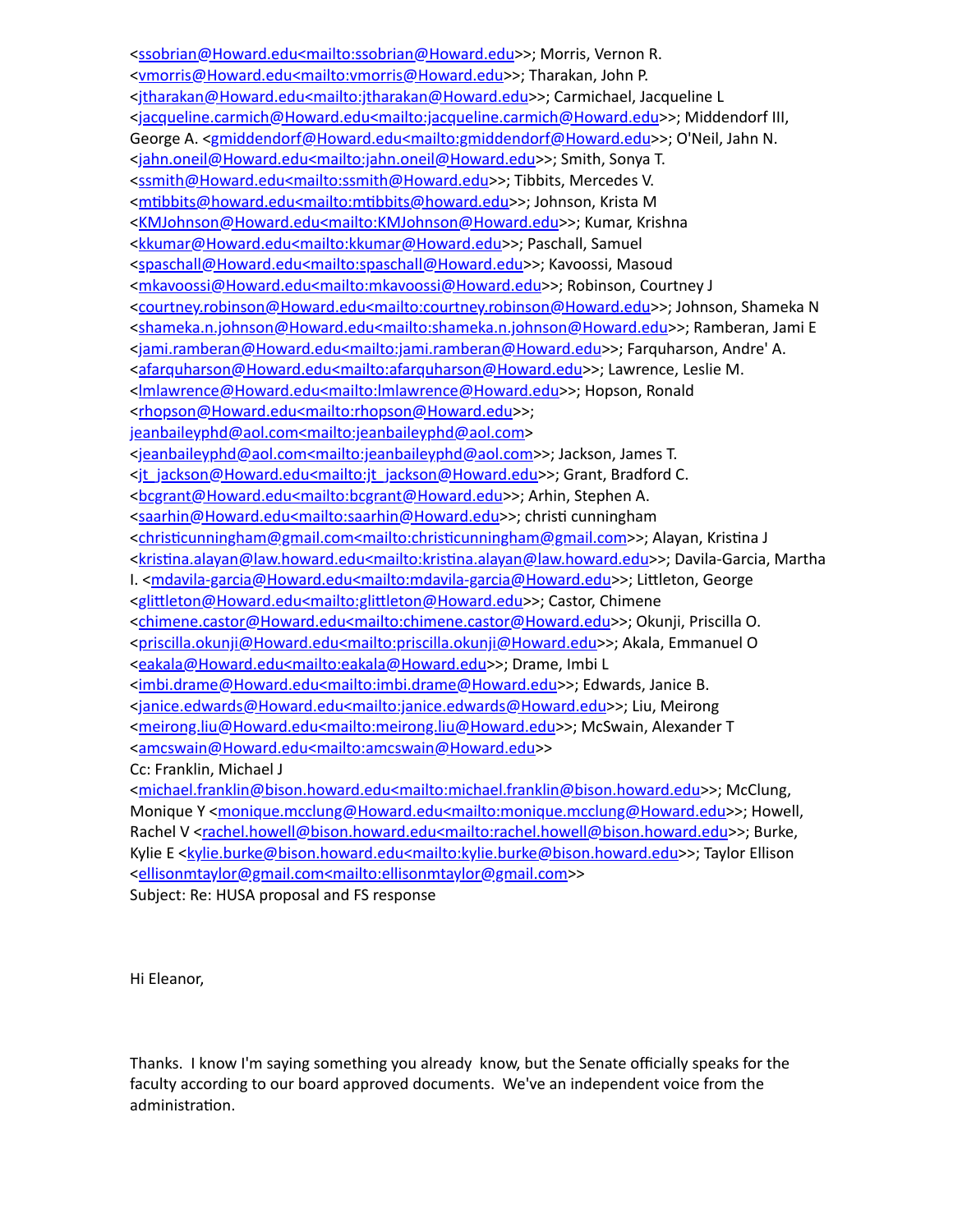[<ssobrian@Howard.edu<mailto:ssobrian@Howard.edu>](mailto:ssobrian@Howard.edu%3cmailto:ssobrian@Howard.edu)>; Morris, Vernon R. [<vmorris@Howard.edu<mailto:vmorris@Howard.edu>](mailto:vmorris@Howard.edu%3cmailto:vmorris@Howard.edu)>; Tharakan, John P. [<jtharakan@Howard.edu<mailto:jtharakan@Howard.edu>](mailto:jtharakan@Howard.edu%3cmailto:jtharakan@Howard.edu)>; Carmichael, Jacqueline L [<jacqueline.carmich@Howard.edu<mailto:jacqueline.carmich@Howard.edu>](mailto:jacqueline.carmich@Howard.edu%3cmailto:jacqueline.carmich@Howard.edu)>; Middendorf III, George A. [<gmiddendorf@Howard.edu<mailto:gmiddendorf@Howard.edu](mailto:gmiddendorf@Howard.edu%3cmailto:gmiddendorf@Howard.edu)>>; O'Neil, Jahn N. [<jahn.oneil@Howard.edu<mailto:jahn.oneil@Howard.edu](mailto:jahn.oneil@Howard.edu%3cmailto:jahn.oneil@Howard.edu)>>; Smith, Sonya T. [<ssmith@Howard.edu<mailto:ssmith@Howard.edu](mailto:ssmith@Howard.edu%3cmailto:ssmith@Howard.edu)>>; Tibbits, Mercedes V. <mtibbits@howard.edu<mailto:mtibbits@howard.edu>>; Johnson, Krista M [<KMJohnson@Howard.edu<mailto:KMJohnson@Howard.edu](mailto:KMJohnson@Howard.edu%3cmailto:KMJohnson@Howard.edu)>>; Kumar, Krishna [<kkumar@Howard.edu<mailto:kkumar@Howard.edu](mailto:kkumar@Howard.edu%3cmailto:kkumar@Howard.edu)>>; Paschall, Samuel [<spaschall@Howard.edu<mailto:spaschall@Howard.edu>](mailto:spaschall@Howard.edu%3cmailto:spaschall@Howard.edu)>; Kavoossi, Masoud [<mkavoossi@Howard.edu<mailto:mkavoossi@Howard.edu](mailto:mkavoossi@Howard.edu%3cmailto:mkavoossi@Howard.edu)>>; Robinson, Courtney J [<courtney.robinson@Howard.edu<mailto:courtney.robinson@Howard.edu](mailto:courtney.robinson@Howard.edu%3cmailto:courtney.robinson@Howard.edu)>>; Johnson, Shameka N [<shameka.n.johnson@Howard.edu<mailto:shameka.n.johnson@Howard.edu>](mailto:shameka.n.johnson@Howard.edu%3cmailto:shameka.n.johnson@Howard.edu)>; Ramberan, Jami E [<jami.ramberan@Howard.edu<mailto:jami.ramberan@Howard.edu>](mailto:jami.ramberan@Howard.edu%3cmailto:jami.ramberan@Howard.edu)>; Farquharson, Andre' A. [<afarquharson@Howard.edu<mailto:afarquharson@Howard.edu](mailto:afarquharson@Howard.edu%3cmailto:afarquharson@Howard.edu)>>; Lawrence, Leslie M. <lmlawrence@Howard.edu<mailto: Imlawrence@Howard.edu>>; Hopson, Ronald [<rhopson@Howard.edu<mailto:rhopson@Howard.edu>](mailto:rhopson@Howard.edu%3cmailto:rhopson@Howard.edu)>; [jeanbaileyphd@aol.com<mailto:jeanbaileyphd@aol.com](mailto:jeanbaileyphd@aol.com%3cmailto:jeanbaileyphd@aol.com)> [<jeanbaileyphd@aol.com<mailto:jeanbaileyphd@aol.com>](mailto:jeanbaileyphd@aol.com%3cmailto:jeanbaileyphd@aol.com)>; Jackson, James T. [<jt\\_jackson@Howard.edu<mailto:jt\\_jackson@Howard.edu>](mailto:jt_jackson@Howard.edu%3cmailto:jt_jackson@Howard.edu)>; Grant, Bradford C. [<bcgrant@Howard.edu<mailto:bcgrant@Howard.edu](mailto:bcgrant@Howard.edu%3cmailto:bcgrant@Howard.edu)>>; Arhin, Stephen A. [<saarhin@Howard.edu<mailto:saarhin@Howard.edu>](mailto:saarhin@Howard.edu%3cmailto:saarhin@Howard.edu)>; christi cunningham <christicunningham@gmail.com<mailto:christicunningham@gmail.com>>; Alayan, Kristina J <kristina.alayan@law.howard.edu<mailto:kristina.alayan@law.howard.edu>>; Davila-Garcia, Martha I. [<mdavila-garcia@Howard.edu<mailto:mdavila-garcia@Howard.edu>](mailto:mdavila-garcia@Howard.edu%3cmailto:mdavila-garcia@Howard.edu)>; Littleton, George <glittleton@Howard.edu<mailto:glittleton@Howard.edu>>; Castor, Chimene [<chimene.castor@Howard.edu<mailto:chimene.castor@Howard.edu](mailto:chimene.castor@Howard.edu%3cmailto:chimene.castor@Howard.edu)>>; Okunji, Priscilla O. [<priscilla.okunji@Howard.edu<mailto:priscilla.okunji@Howard.edu>](mailto:priscilla.okunji@Howard.edu%3cmailto:priscilla.okunji@Howard.edu)>; Akala, Emmanuel O [<eakala@Howard.edu<mailto:eakala@Howard.edu>](mailto:eakala@Howard.edu%3cmailto:eakala@Howard.edu)>; Drame, Imbi L [<imbi.drame@Howard.edu<mailto:imbi.drame@Howard.edu](mailto:imbi.drame@Howard.edu%3cmailto:imbi.drame@Howard.edu)>>; Edwards, Janice B. [<janice.edwards@Howard.edu<mailto:janice.edwards@Howard.edu>](mailto:janice.edwards@Howard.edu%3cmailto:janice.edwards@Howard.edu)>; Liu, Meirong [<meirong.liu@Howard.edu<mailto:meirong.liu@Howard.edu](mailto:meirong.liu@Howard.edu%3cmailto:meirong.liu@Howard.edu)>>; McSwain, Alexander T [<amcswain@Howard.edu<mailto:amcswain@Howard.edu](mailto:amcswain@Howard.edu%3cmailto:amcswain@Howard.edu)>> Cc: Franklin, Michael J [<michael.franklin@bison.howard.edu<mailto:michael.franklin@bison.howard.edu](mailto:michael.franklin@bison.howard.edu%3cmailto:michael.franklin@bison.howard.edu)>>; McClung, Monique Y <[monique.mcclung@Howard.edu<mailto:monique.mcclung@Howard.edu](mailto:monique.mcclung@Howard.edu%3cmailto:monique.mcclung@Howard.edu)>>; Howell, Rachel V <[rachel.howell@bison.howard.edu<mailto:rachel.howell@bison.howard.edu](mailto:rachel.howell@bison.howard.edu%3cmailto:rachel.howell@bison.howard.edu)>>; Burke, Kylie E [<kylie.burke@bison.howard.edu<mailto:kylie.burke@bison.howard.edu>](mailto:kylie.burke@bison.howard.edu%3cmailto:kylie.burke@bison.howard.edu)>; Taylor Ellison

[<ellisonmtaylor@gmail.com<mailto:ellisonmtaylor@gmail.com>](mailto:ellisonmtaylor@gmail.com%3cmailto:ellisonmtaylor@gmail.com)>

Subject: Re: HUSA proposal and FS response

Hi Eleanor,

Thanks. I know I'm saying something you already know, but the Senate officially speaks for the faculty according to our board approved documents. We've an independent voice from the administration.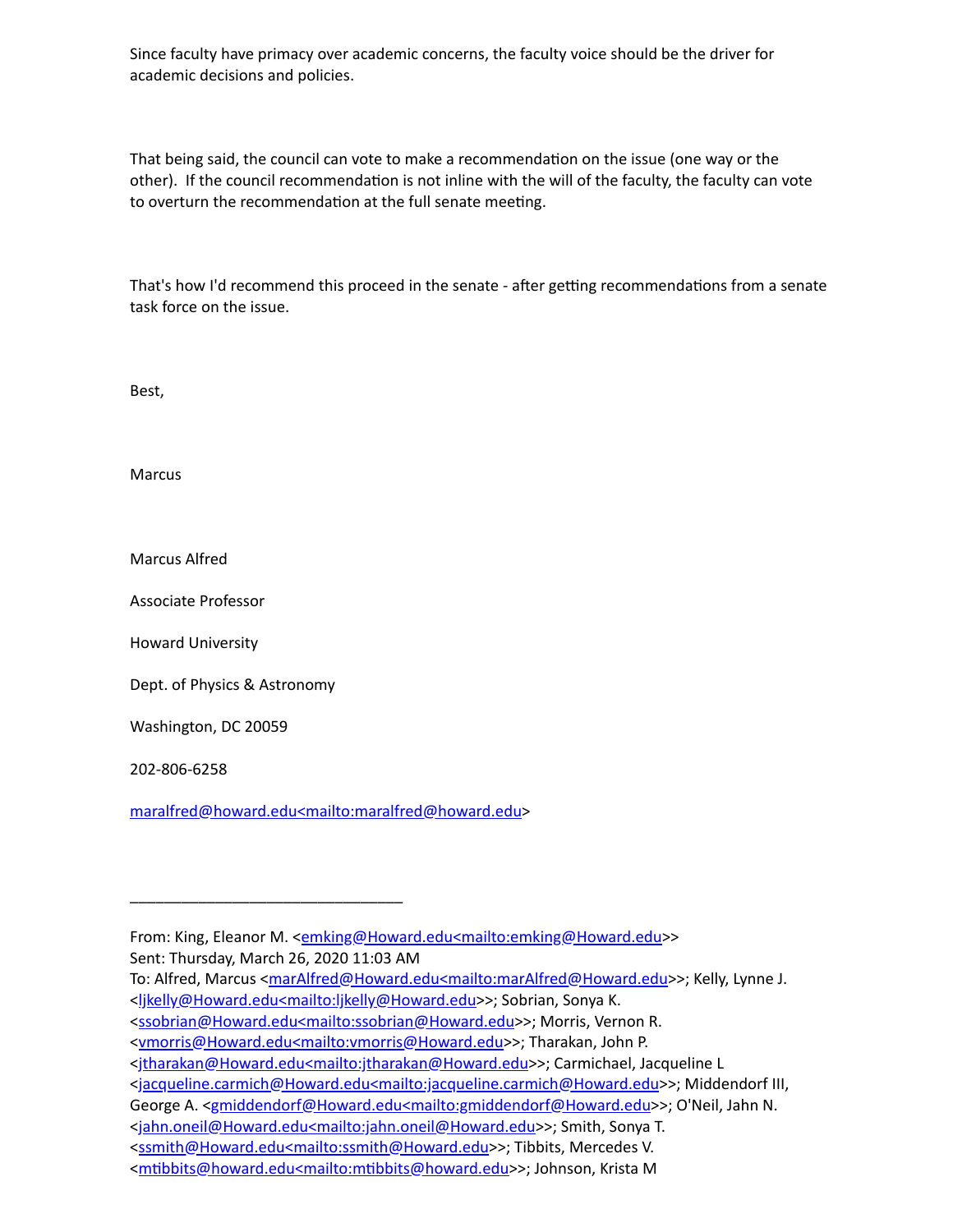Since faculty have primacy over academic concerns, the faculty voice should be the driver for academic decisions and policies.

That being said, the council can vote to make a recommendation on the issue (one way or the other). If the council recommendation is not inline with the will of the faculty, the faculty can vote to overturn the recommendation at the full senate meeting.

That's how I'd recommend this proceed in the senate - after getting recommendations from a senate task force on the issue.

Best,

Marcus

Marcus Alfred

Associate Professor

Howard University

Dept. of Physics & Astronomy

\_\_\_\_\_\_\_\_\_\_\_\_\_\_\_\_\_\_\_\_\_\_\_\_\_\_\_\_\_\_\_\_

Washington, DC 20059

202-806-6258

[maralfred@howard.edu<mailto:maralfred@howard.edu](mailto:maralfred@howard.edu%3cmailto:maralfred@howard.edu)>

To: Alfred, Marcus < $frac{Afred@Howard.edumain:markfred@Howard.edu>>; Kelly, Lynne J.$ [<ljkelly@Howard.edu<mailto:ljkelly@Howard.edu](mailto:ljkelly@Howard.edu%3cmailto:ljkelly@Howard.edu)>>; Sobrian, Sonya K.

From: King, Eleanor M. <**[emking@Howard.edu<mailto:emking@Howard.edu>](mailto:emking@Howard.edu%3cmailto:emking@Howard.edu)>** Sent: Thursday, March 26, 2020 11:03 AM

[<sup>&</sup>lt;ssobrian@Howard.edu<mailto:ssobrian@Howard.edu>](mailto:ssobrian@Howard.edu%3cmailto:ssobrian@Howard.edu)>; Morris, Vernon R.

[<sup>&</sup>lt;vmorris@Howard.edu<mailto:vmorris@Howard.edu>](mailto:vmorris@Howard.edu%3cmailto:vmorris@Howard.edu)>; Tharakan, John P.

[<sup>&</sup>lt;jtharakan@Howard.edu<mailto:jtharakan@Howard.edu>](mailto:jtharakan@Howard.edu%3cmailto:jtharakan@Howard.edu)>; Carmichael, Jacqueline L

[<sup>&</sup>lt;jacqueline.carmich@Howard.edu<mailto:jacqueline.carmich@Howard.edu>](mailto:jacqueline.carmich@Howard.edu%3cmailto:jacqueline.carmich@Howard.edu)>; Middendorf III,

George A. [<gmiddendorf@Howard.edu<mailto:gmiddendorf@Howard.edu](mailto:gmiddendorf@Howard.edu%3cmailto:gmiddendorf@Howard.edu)>>; O'Neil, Jahn N.

[<sup>&</sup>lt;jahn.oneil@Howard.edu<mailto:jahn.oneil@Howard.edu](mailto:jahn.oneil@Howard.edu%3cmailto:jahn.oneil@Howard.edu)>>; Smith, Sonya T.

[<sup>&</sup>lt;ssmith@Howard.edu<mailto:ssmith@Howard.edu](mailto:ssmith@Howard.edu%3cmailto:ssmith@Howard.edu)>>; Tibbits, Mercedes V.

<sup>&</sup>lt;mtibbits@howard.edu<mailto:mtibbits@howard.edu>>; Johnson, Krista M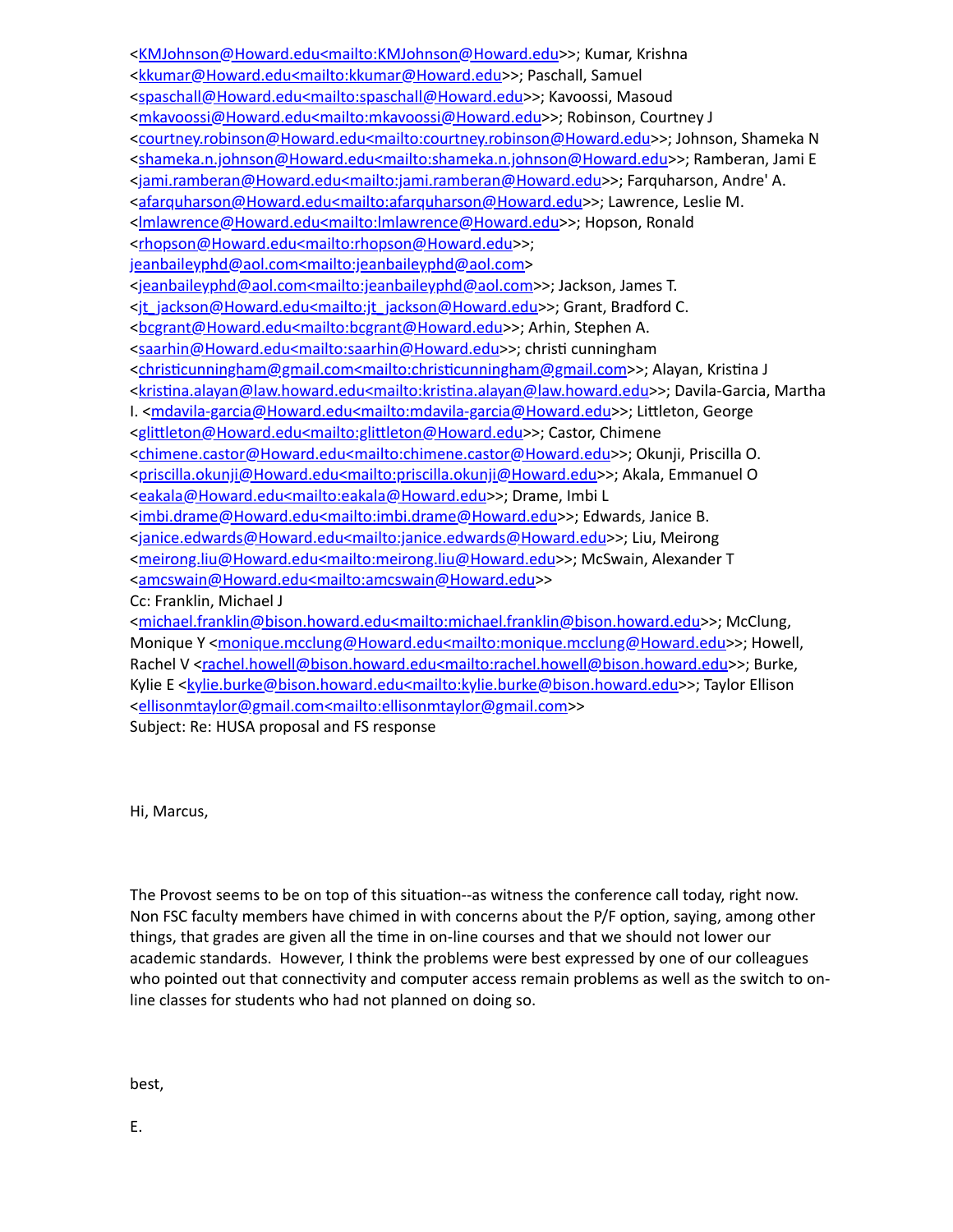[<KMJohnson@Howard.edu<mailto:KMJohnson@Howard.edu](mailto:KMJohnson@Howard.edu%3cmailto:KMJohnson@Howard.edu)>>; Kumar, Krishna [<kkumar@Howard.edu<mailto:kkumar@Howard.edu](mailto:kkumar@Howard.edu%3cmailto:kkumar@Howard.edu)>>; Paschall, Samuel [<spaschall@Howard.edu<mailto:spaschall@Howard.edu>](mailto:spaschall@Howard.edu%3cmailto:spaschall@Howard.edu)>; Kavoossi, Masoud [<mkavoossi@Howard.edu<mailto:mkavoossi@Howard.edu](mailto:mkavoossi@Howard.edu%3cmailto:mkavoossi@Howard.edu)>>; Robinson, Courtney J [<courtney.robinson@Howard.edu<mailto:courtney.robinson@Howard.edu](mailto:courtney.robinson@Howard.edu%3cmailto:courtney.robinson@Howard.edu)>>; Johnson, Shameka N [<shameka.n.johnson@Howard.edu<mailto:shameka.n.johnson@Howard.edu>](mailto:shameka.n.johnson@Howard.edu%3cmailto:shameka.n.johnson@Howard.edu)>; Ramberan, Jami E [<jami.ramberan@Howard.edu<mailto:jami.ramberan@Howard.edu>](mailto:jami.ramberan@Howard.edu%3cmailto:jami.ramberan@Howard.edu)>; Farquharson, Andre' A. [<afarquharson@Howard.edu<mailto:afarquharson@Howard.edu](mailto:afarquharson@Howard.edu%3cmailto:afarquharson@Howard.edu)>>; Lawrence, Leslie M. [<lmlawrence@Howard.edu<mailto:lmlawrence@Howard.edu>](mailto:lmlawrence@Howard.edu%3cmailto:lmlawrence@Howard.edu)>; Hopson, Ronald [<rhopson@Howard.edu<mailto:rhopson@Howard.edu>](mailto:rhopson@Howard.edu%3cmailto:rhopson@Howard.edu)>; [jeanbaileyphd@aol.com<mailto:jeanbaileyphd@aol.com](mailto:jeanbaileyphd@aol.com%3cmailto:jeanbaileyphd@aol.com)> [<jeanbaileyphd@aol.com<mailto:jeanbaileyphd@aol.com>](mailto:jeanbaileyphd@aol.com%3cmailto:jeanbaileyphd@aol.com)>; Jackson, James T. [<jt\\_jackson@Howard.edu<mailto:jt\\_jackson@Howard.edu>](mailto:jt_jackson@Howard.edu%3cmailto:jt_jackson@Howard.edu)>; Grant, Bradford C. [<bcgrant@Howard.edu<mailto:bcgrant@Howard.edu](mailto:bcgrant@Howard.edu%3cmailto:bcgrant@Howard.edu)>>; Arhin, Stephen A. [<saarhin@Howard.edu<mailto:saarhin@Howard.edu>](mailto:saarhin@Howard.edu%3cmailto:saarhin@Howard.edu)>; christi cunningham <christicunningham@gmail.com<mailto:christicunningham@gmail.com>>; Alayan, Kristina J <kristina.alayan@law.howard.edu<mailto:kristina.alayan@law.howard.edu>>; Davila-Garcia, Martha I. [<mdavila-garcia@Howard.edu<mailto:mdavila-garcia@Howard.edu>](mailto:mdavila-garcia@Howard.edu%3cmailto:mdavila-garcia@Howard.edu)>; Littleton, George <glittleton@Howard.edu<mailto:glittleton@Howard.edu>>; Castor, Chimene [<chimene.castor@Howard.edu<mailto:chimene.castor@Howard.edu](mailto:chimene.castor@Howard.edu%3cmailto:chimene.castor@Howard.edu)>>; Okunji, Priscilla O. [<priscilla.okunji@Howard.edu<mailto:priscilla.okunji@Howard.edu>](mailto:priscilla.okunji@Howard.edu%3cmailto:priscilla.okunji@Howard.edu)>; Akala, Emmanuel O [<eakala@Howard.edu<mailto:eakala@Howard.edu>](mailto:eakala@Howard.edu%3cmailto:eakala@Howard.edu)>; Drame, Imbi L [<imbi.drame@Howard.edu<mailto:imbi.drame@Howard.edu](mailto:imbi.drame@Howard.edu%3cmailto:imbi.drame@Howard.edu)>>; Edwards, Janice B. [<janice.edwards@Howard.edu<mailto:janice.edwards@Howard.edu>](mailto:janice.edwards@Howard.edu%3cmailto:janice.edwards@Howard.edu)>; Liu, Meirong [<meirong.liu@Howard.edu<mailto:meirong.liu@Howard.edu](mailto:meirong.liu@Howard.edu%3cmailto:meirong.liu@Howard.edu)>>; McSwain, Alexander T [<amcswain@Howard.edu<mailto:amcswain@Howard.edu](mailto:amcswain@Howard.edu%3cmailto:amcswain@Howard.edu)>> Cc: Franklin, Michael J [<michael.franklin@bison.howard.edu<mailto:michael.franklin@bison.howard.edu](mailto:michael.franklin@bison.howard.edu%3cmailto:michael.franklin@bison.howard.edu)>>; McClung, Monique Y <[monique.mcclung@Howard.edu<mailto:monique.mcclung@Howard.edu](mailto:monique.mcclung@Howard.edu%3cmailto:monique.mcclung@Howard.edu)>>; Howell, Rachel V <[rachel.howell@bison.howard.edu<mailto:rachel.howell@bison.howard.edu](mailto:rachel.howell@bison.howard.edu%3cmailto:rachel.howell@bison.howard.edu)>>; Burke, Kylie E [<kylie.burke@bison.howard.edu<mailto:kylie.burke@bison.howard.edu>](mailto:kylie.burke@bison.howard.edu%3cmailto:kylie.burke@bison.howard.edu)>; Taylor Ellison

[<ellisonmtaylor@gmail.com<mailto:ellisonmtaylor@gmail.com>](mailto:ellisonmtaylor@gmail.com%3cmailto:ellisonmtaylor@gmail.com)>

Subject: Re: HUSA proposal and FS response

Hi, Marcus,

The Provost seems to be on top of this situation--as witness the conference call today, right now. Non FSC faculty members have chimed in with concerns about the P/F option, saying, among other things, that grades are given all the time in on-line courses and that we should not lower our academic standards. However, I think the problems were best expressed by one of our colleagues who pointed out that connectivity and computer access remain problems as well as the switch to online classes for students who had not planned on doing so.

best,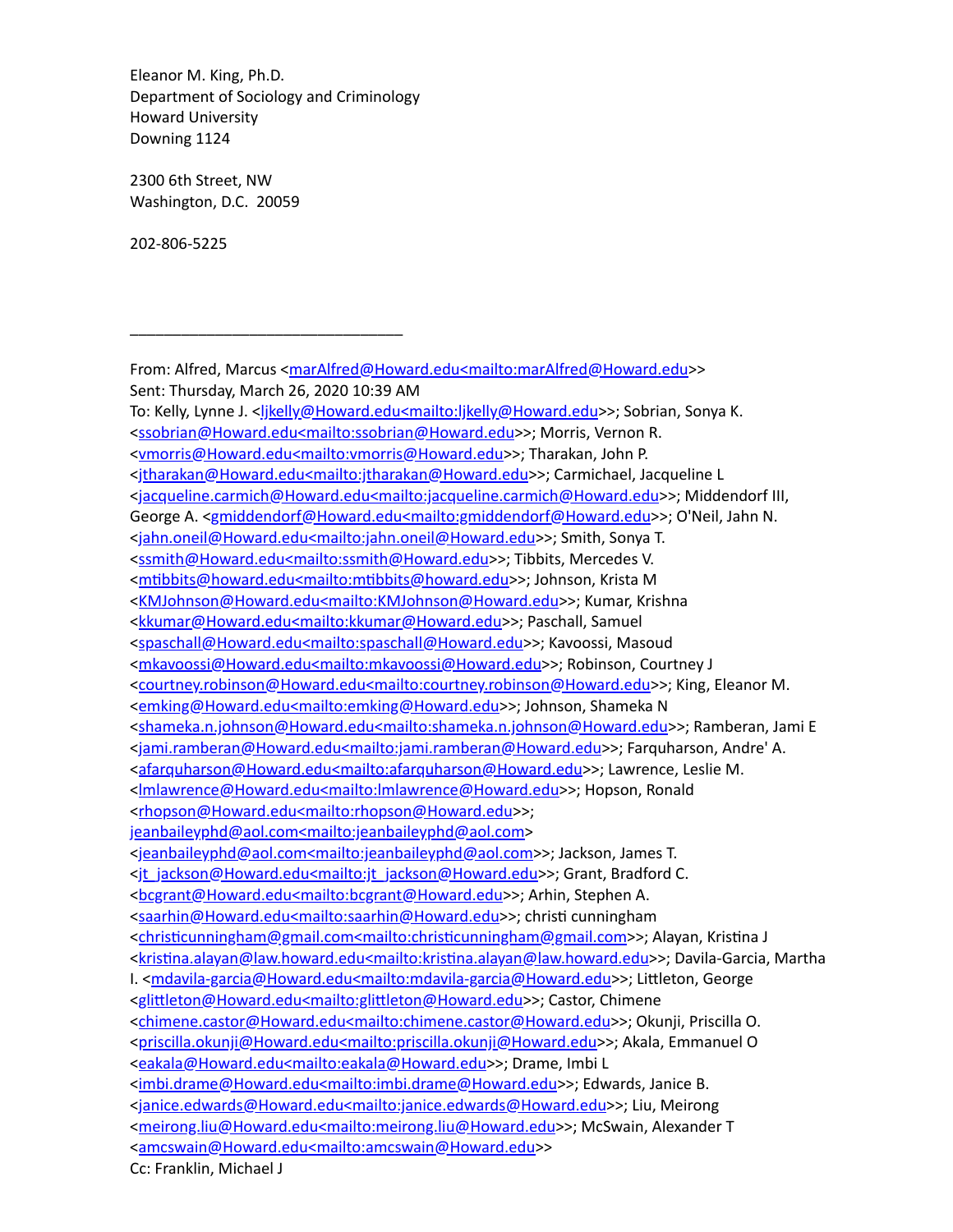Eleanor M. King, Ph.D. Department of Sociology and Criminology Howard University Downing 1124

\_\_\_\_\_\_\_\_\_\_\_\_\_\_\_\_\_\_\_\_\_\_\_\_\_\_\_\_\_\_\_\_

2300 6th Street, NW Washington, D.C. 20059

202-806-5225

From: Alfred, Marcus <[marAlfred@Howard.edu<mailto:marAlfred@Howard.edu](mailto:marAlfred@Howard.edu%3cmailto:marAlfred@Howard.edu)>> Sent: Thursday, March 26, 2020 10:39 AM To: Kelly, Lynne J. <||kelly@Howard.edu<mailto:||kelly@Howard.edu>>; Sobrian, Sonya K. [<ssobrian@Howard.edu<mailto:ssobrian@Howard.edu>](mailto:ssobrian@Howard.edu%3cmailto:ssobrian@Howard.edu)>; Morris, Vernon R. <<u>vmorris@Howard.edu<mailto:vmorris@Howard.edu</u>>>; Tharakan, John P. [<jtharakan@Howard.edu<mailto:jtharakan@Howard.edu>](mailto:jtharakan@Howard.edu%3cmailto:jtharakan@Howard.edu)>; Carmichael, Jacqueline L [<jacqueline.carmich@Howard.edu<mailto:jacqueline.carmich@Howard.edu>](mailto:jacqueline.carmich@Howard.edu%3cmailto:jacqueline.carmich@Howard.edu)>; Middendorf III, George A. [<gmiddendorf@Howard.edu<mailto:gmiddendorf@Howard.edu](mailto:gmiddendorf@Howard.edu%3cmailto:gmiddendorf@Howard.edu)>>; O'Neil, Jahn N. [<jahn.oneil@Howard.edu<mailto:jahn.oneil@Howard.edu](mailto:jahn.oneil@Howard.edu%3cmailto:jahn.oneil@Howard.edu)>>; Smith, Sonya T. [<ssmith@Howard.edu<mailto:ssmith@Howard.edu](mailto:ssmith@Howard.edu%3cmailto:ssmith@Howard.edu)>>; Tibbits, Mercedes V. <mtibbits@howard.edu<mailto:mtibbits@howard.edu>>; Johnson, Krista M [<KMJohnson@Howard.edu<mailto:KMJohnson@Howard.edu](mailto:KMJohnson@Howard.edu%3cmailto:KMJohnson@Howard.edu)>>; Kumar, Krishna [<kkumar@Howard.edu<mailto:kkumar@Howard.edu](mailto:kkumar@Howard.edu%3cmailto:kkumar@Howard.edu)>>; Paschall, Samuel [<spaschall@Howard.edu<mailto:spaschall@Howard.edu>](mailto:spaschall@Howard.edu%3cmailto:spaschall@Howard.edu)>; Kavoossi, Masoud [<mkavoossi@Howard.edu<mailto:mkavoossi@Howard.edu](mailto:mkavoossi@Howard.edu%3cmailto:mkavoossi@Howard.edu)>>; Robinson, Courtney J [<courtney.robinson@Howard.edu<mailto:courtney.robinson@Howard.edu](mailto:courtney.robinson@Howard.edu%3cmailto:courtney.robinson@Howard.edu)>>; King, Eleanor M. [<emking@Howard.edu<mailto:emking@Howard.edu>](mailto:emking@Howard.edu%3cmailto:emking@Howard.edu)>; Johnson, Shameka N [<shameka.n.johnson@Howard.edu<mailto:shameka.n.johnson@Howard.edu>](mailto:shameka.n.johnson@Howard.edu%3cmailto:shameka.n.johnson@Howard.edu)>; Ramberan, Jami E [<jami.ramberan@Howard.edu<mailto:jami.ramberan@Howard.edu>](mailto:jami.ramberan@Howard.edu%3cmailto:jami.ramberan@Howard.edu)>; Farquharson, Andre' A. [<afarquharson@Howard.edu<mailto:afarquharson@Howard.edu](mailto:afarquharson@Howard.edu%3cmailto:afarquharson@Howard.edu)>>; Lawrence, Leslie M. [<lmlawrence@Howard.edu<mailto:lmlawrence@Howard.edu>](mailto:lmlawrence@Howard.edu%3cmailto:lmlawrence@Howard.edu)>; Hopson, Ronald [<rhopson@Howard.edu<mailto:rhopson@Howard.edu>](mailto:rhopson@Howard.edu%3cmailto:rhopson@Howard.edu)>; [jeanbaileyphd@aol.com<mailto:jeanbaileyphd@aol.com](mailto:jeanbaileyphd@aol.com%3cmailto:jeanbaileyphd@aol.com)> [<jeanbaileyphd@aol.com<mailto:jeanbaileyphd@aol.com>](mailto:jeanbaileyphd@aol.com%3cmailto:jeanbaileyphd@aol.com)>; Jackson, James T. <it\_jackson@Howard.edu<mailto:jt\_jackson@Howard.edu>>; Grant, Bradford C. [<bcgrant@Howard.edu<mailto:bcgrant@Howard.edu](mailto:bcgrant@Howard.edu%3cmailto:bcgrant@Howard.edu)>>; Arhin, Stephen A. [<saarhin@Howard.edu<mailto:saarhin@Howard.edu>](mailto:saarhin@Howard.edu%3cmailto:saarhin@Howard.edu)>; christi cunningham <christicunningham@gmail.com<mailto:christicunningham@gmail.com>>; Alayan, Kristina J <kristina.alayan@law.howard.edu<mailto:kristina.alayan@law.howard.edu>>; Davila-Garcia, Martha I. [<mdavila-garcia@Howard.edu<mailto:mdavila-garcia@Howard.edu>](mailto:mdavila-garcia@Howard.edu%3cmailto:mdavila-garcia@Howard.edu)>; Littleton, George <glittleton@Howard.edu<mailto:glittleton@Howard.edu>>; Castor, Chimene [<chimene.castor@Howard.edu<mailto:chimene.castor@Howard.edu](mailto:chimene.castor@Howard.edu%3cmailto:chimene.castor@Howard.edu)>>; Okunji, Priscilla O. [<priscilla.okunji@Howard.edu<mailto:priscilla.okunji@Howard.edu>](mailto:priscilla.okunji@Howard.edu%3cmailto:priscilla.okunji@Howard.edu)>; Akala, Emmanuel O [<eakala@Howard.edu<mailto:eakala@Howard.edu>](mailto:eakala@Howard.edu%3cmailto:eakala@Howard.edu)>; Drame, Imbi L [<imbi.drame@Howard.edu<mailto:imbi.drame@Howard.edu](mailto:imbi.drame@Howard.edu%3cmailto:imbi.drame@Howard.edu)>>; Edwards, Janice B. [<janice.edwards@Howard.edu<mailto:janice.edwards@Howard.edu>](mailto:janice.edwards@Howard.edu%3cmailto:janice.edwards@Howard.edu)>; Liu, Meirong [<meirong.liu@Howard.edu<mailto:meirong.liu@Howard.edu](mailto:meirong.liu@Howard.edu%3cmailto:meirong.liu@Howard.edu)>>; McSwain, Alexander T [<amcswain@Howard.edu<mailto:amcswain@Howard.edu](mailto:amcswain@Howard.edu%3cmailto:amcswain@Howard.edu)>> Cc: Franklin, Michael J